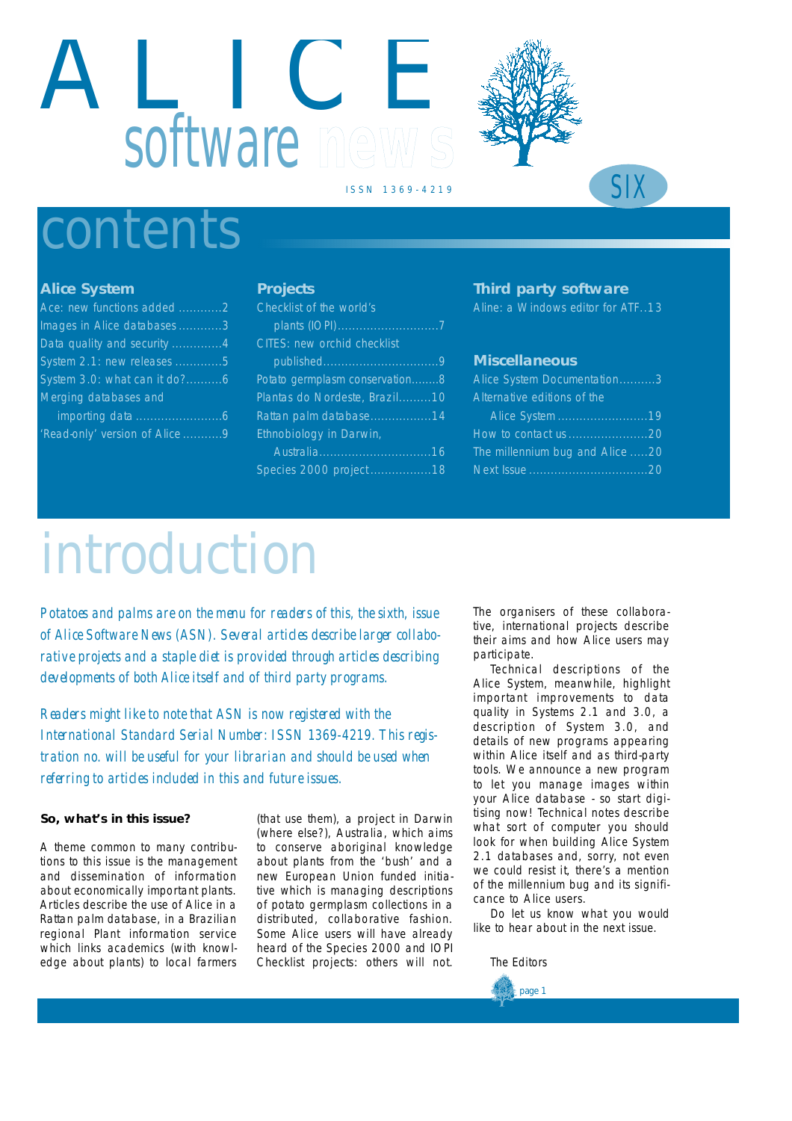# A L I C E software mew





## contents

## **Alice System**

| Ace: new functions added 2   |
|------------------------------|
| Images in Alice databases 3  |
| Data quality and security 4  |
| System 2.1: new releases 5   |
| System 3.0: what can it do?6 |
| Merging databases and        |
| <i>importing data</i>        |

i m p o rting data . . . . . . . . . . . . . . . . . . . . . . . .6 Read-only' version of Alice ...........9

## **Projects**

| Checklist of the world's       |
|--------------------------------|
|                                |
| CITES: new orchid checklist    |
|                                |
| Potato germplasm conservation8 |
| Plantas do Nordeste, Brazil10  |
| Rattan palm database14         |
| Ethnobiology in Darwin,        |
|                                |
| Species 2000 project 18        |

## **Third party software**

*Aline: a Windows editor for ATF..13* 

## **Miscellaneous**

| Alice System Documentation3                                                                                           |
|-----------------------------------------------------------------------------------------------------------------------|
| Alternative editions of the                                                                                           |
| <b>Contract Contract Contract Contract Contract Contract Contract Contract Contract Contract Contract Contract Co</b> |
|                                                                                                                       |
| The millennium bug and Alice 20                                                                                       |
|                                                                                                                       |

# *introduction*

*Potatoes and palms are on the menu for readers of this, the sixth, issue of Alice Software News (ASN). Several articles describe larger collaborative projects and a staple diet is provided through articles describing developments of both Alice itself and of third party programs.*

*Readers might like to note that ASN is now registered with the* International Standard Serial Number: ISSN 1369-4219. This regis*tration no. will be useful for your librarian and should be used when referring to articles included in this and future issues.*

## **So, what's in this issue?**

A theme common to many contributions to this issue is the management and dissemination of information about economically important plants. Articles describe the use of Alice in a Rattan palm database, in a Brazilian regional Plant information service which links academics (with knowledge about plants) to local farmers

(that use them), a project in Darwin (where else?), Australia, which aims to conserve aboriginal knowledge about plants from the 'bush' and a new European Union funded initiative which is managing descriptions of potato germplasm collections in a distributed, collaborative fashion. Some Alice users will have already heard of the Species 2000 and IOPI Checklist projects: others will not.

The organisers of these collaborative, international projects describe their aims and how Alice users may participate.

Technical descriptions of the Alice System, meanwhile, highlight important improvements to data quality in Systems 2.1 and 3.0, a description of System 3.0, and details of new programs appearing within Alice itself and as third-party tools. We announce a new program to let you manage images within your Alice database - so start digitising now! Technical notes describe what sort of computer you should look for when building Alice System 2.1 databases and, sorry, not even we could resist it, there's a mention of the millennium bug and its significance to Alice users.

Do let us know what you would like to hear about in the next issue.

*The Editors*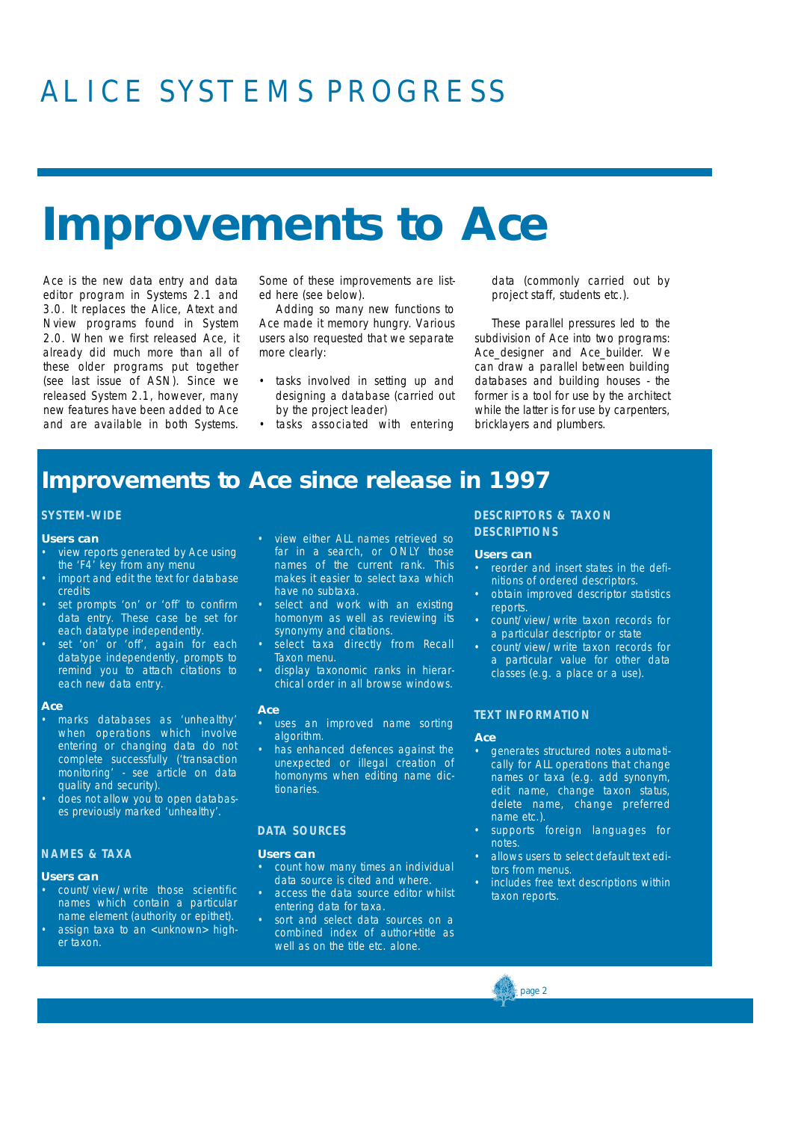## ALICE SYSTEMS PROGRESS

## **Improvements to** *Ace*

*Ace* is the new data entry and data editor program in Systems 2.1 and 3.0. It replaces the *Alice*, *Atext* and *Nview* programs found in System 2.0. When we first released *Ace,* it already did much more than all of these older programs put together (see last issue of ASN). Since we released System 2.1, however, many new features have been added to *Ace* and are available in both Systems.

Some of these improvements are listed here (see below).

Adding so many new functions to *Ace* made it memory hungry. Various users also requested that we separate more clearly:

- tasks involved in setting up and designing a database (carried out by the project leader)
- tasks associated with entering

data (commonly carried out by project staff, students etc.).

These parallel pressures led to the subdivision of *Ace* into two programs: Ace\_designer and Ace\_builder. We can draw a parallel between building databases and building houses - the former is a tool for use by the architect while the latter is for use by carpenters, bricklayers and plumbers.

## **Improvements to Ace since release in 1997**

## **SYSTEM-WIDE**

### **Users can**

- view reports generated by *Ace* using the 'F4' key from any menu
- import and edit the text for database credits
- set prompts 'on' or 'off' to confirm data entry. These case be set for each datatype independently.
- set 'on' or 'off', again for each datatype independently, prompts to remind you to attach citations to each new data entry.

#### *Ace*

- marks databases as 'unhealthy' when operations which involve entering or changing data do not complete successfully ('transaction monitoring' - see article on data quality and security).
- does not allow you to open databases previously marked 'unhealthy'.

### **NAMES & TAXA**

#### **Users can**

- count/view/write those scientific names which contain a particular name element (authority or epithet).
- assign taxa to an <unknown> higher taxon.
- view either ALL names retrieved so far in a search, or ONLY those names of the current rank. This makes it easier to select taxa which have no subtaxa.
- select and work with an existing homonym as well as reviewing its synonymy and citations.
- select taxa directly from Recall Taxon menu.
- display taxonomic ranks in hierarchical order in all browse windows.

#### *Ace*

- uses an improved name sorting algorithm.
- has enhanced defences against the unexpected or illegal creation of homonyms when editing name dictionaries.

## **D ATA SOURCES**

#### **Users can**

- count how many times an individual data source is cited and where.
- access the data source editor whilst entering data for taxa.
- sort and select data sources on a combined index of author+title as well as on the title etc. alone.

## **DESCRIPTORS & TAXON DESCRIPTIONS**

#### **Users can**

- reorder and insert states in the definitions of ordered descriptors.
- obtain improved descriptor statistics reports.
- count/view/write taxon records for a particular descriptor or state
- count/view/write taxon records for a particular value for other data classes (e.g. a place or a use).

## **TEXT INFORMATION**

#### *Ace*

- generates structured notes automatically for ALL operations that change names or taxa (e.g. add synonym, edit name, change taxon status, delete name, change preferred name etc.).
- supports foreign languages for notes.
- allows users to select default text editors from menus.
- includes free text descriptions within taxon reports.

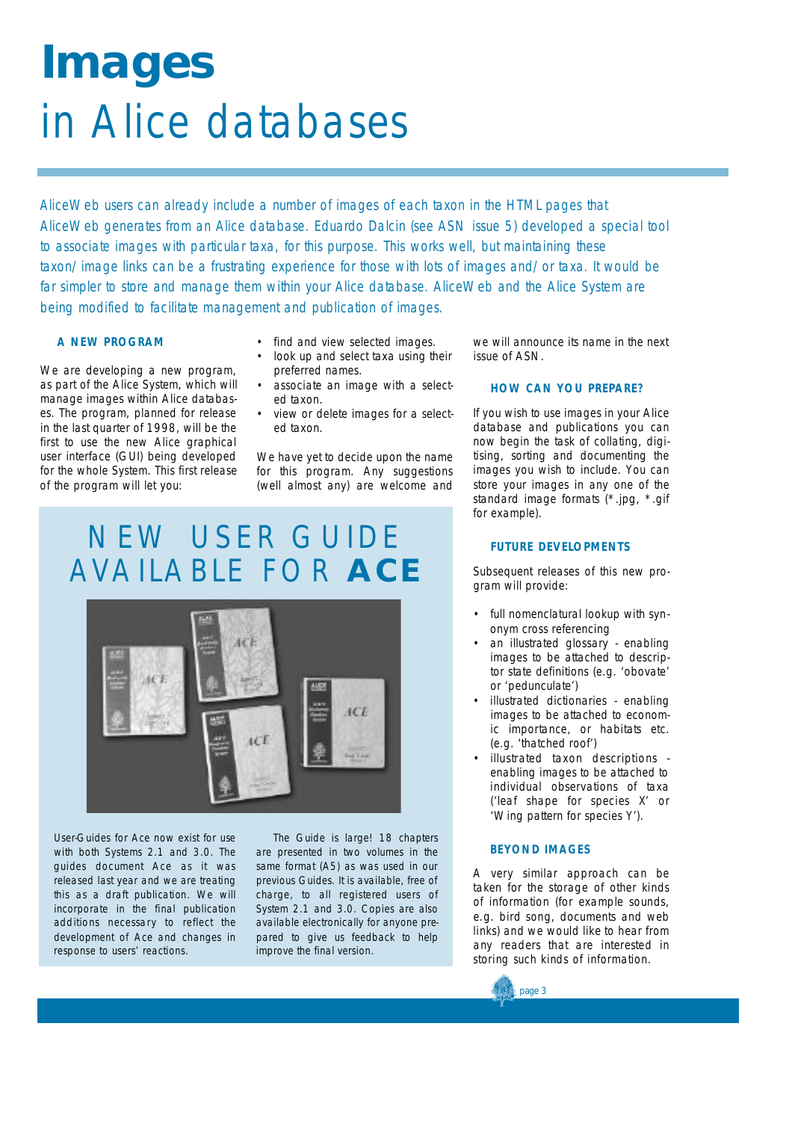# **Images**  in Alice databases

AliceWeb users can already include a number of images of each taxon in the HTML pages that AliceWeb generates from an Alice database. Eduardo Dalcin (see ASN issue 5) developed a special tool *to associate images with particular taxa, for this purpose. This works well, but maintaining these taxon/image links can be a frustrating experience for those with lots of images and/or taxa. It would be far simpler to store and manage them within your Alice database. AliceWeb and the Alice System are being modified to facilitate management and publication of images.*

## **A NEW PROGRAM**

We are developing a new program, as part of the Alice System, which will manage images within Alice databases. The program, planned for release in the last quarter of 1998, will be the first to use the new Alice graphical user interface (GUI) being developed for the whole System. This first release of the program will let you:

- find and view selected images.
- look up and select taxa using their preferred names.
- associate an image with a selected taxon.
- view or delete images for a selected taxon.

We have yet to decide upon the name for this program. Any suggestions (well almost any) are welcome and

## NEW USER GUIDE AVAILABLE FOR **A C E**



User-Guides for *Ace* now exist for use with both Systems 2.1 and 3.0. The guides document *Ace* as it was released last year and we are treating this as a draft publication. We will incorporate in the final publication additions necessary to reflect the development of *Ace* and changes in response to users' reactions.

The Guide is large! 18 chapters are presented in two volumes in the same format (A5) as was used in our previous Guides. It is available, free of charge, to all registered users of System 2.1 and 3.0. Copies are also available electronically for anyone prepared to give us feedback to help improve the final version.

we will announce its name in the next issue of ASN.

## **HOW CAN YOU PREPARE?**

If you wish to use images in your Alice database and publications you can now begin the task of collating, digitising, sorting and documenting the images you wish to include. You can store your images in any one of the standard image formats (\*.jpg, \*.gif for example).

## **FUTURE DEVELOPMENTS**

Subsequent releases of this new program will provide:

- full nomenclatural lookup with synonym cross referencing
- an illustrated glossary enabling images to be attached to descriptor state definitions (e.g. 'obovate' or 'pedunculate')
- illustrated dictionaries enabling images to be attached to economic importance, or habitats etc. (e.g. 'thatched roof')
- illustrated taxon descriptions enabling images to be attached to individual observations of taxa ('leaf shape for species X' or 'Wing pattern for species Y').

## **BEYOND IMAGES**

page 3

A very similar approach can be taken for the storage of other kinds of information (for example sounds, e.g. bird song, documents and web links) and we would like to hear from any readers that are interested in storing such kinds of information.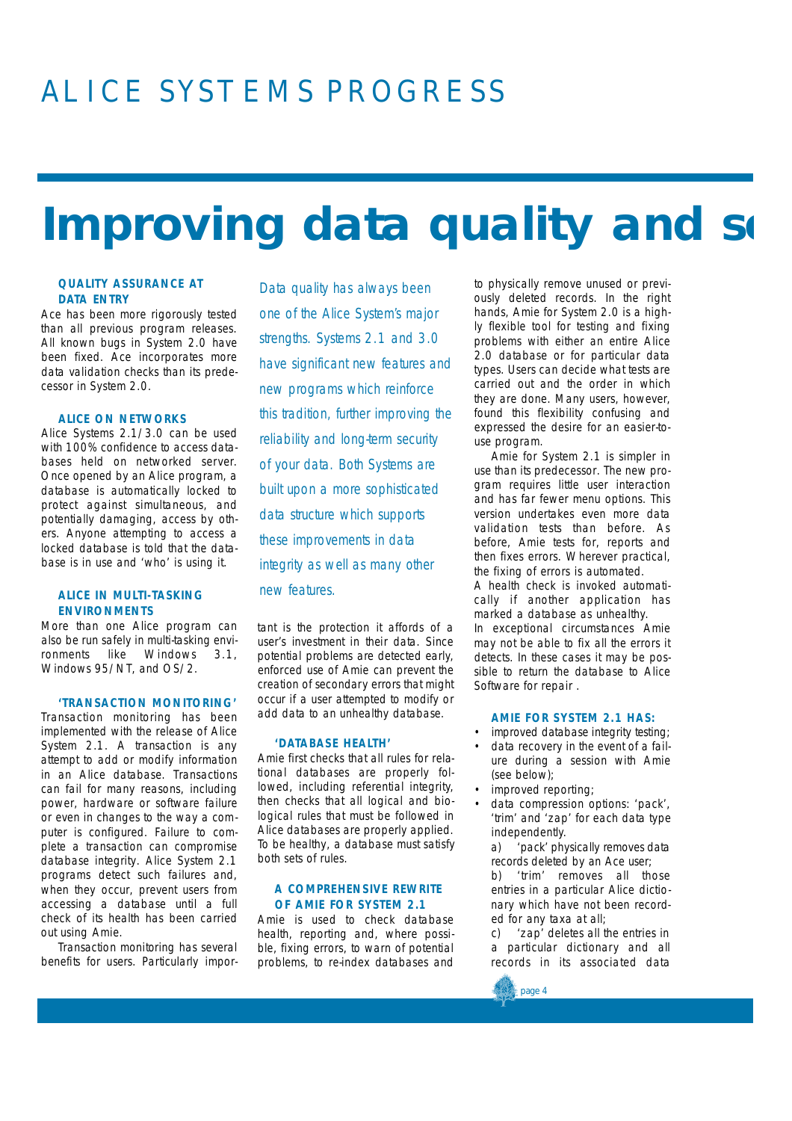## ALICE SYSTEMS PROGRESS

## **Improving data quality and set**

## **QUALITY ASSURANCE AT D ATA ENTRY**

*Ace* has been more rigorously tested than all previous program releases. All known bugs in System 2.0 have been fixed. *Ace* incorporates more data validation checks than its predecessor in System 2.0.

## **ALICE ON NETWORKS**

Alice Systems 2.1/3.0 can be used with 100% confidence to access databases held on networked server. Once opened by an Alice program, a database is automatically locked to protect against simultaneous, and potentially damaging, access by others. Anyone attempting to access a locked database is told that the database is in use and 'who' is using it.

## **ALICE IN MULTI-TASKING ENVIRONMENTS**

More than one Alice program can also be run safely in multi-tasking environments like Windows 3.1, Windows 95/NT, and OS/2.

### **'TRANSACTION MONITORING'**

Transaction monitoring has been implemented with the release of Alice System 2.1. A transaction is any attempt to add or modify information in an Alice database. Transactions can fail for many reasons, including power, hardware or software failure or even in changes to the way a computer is configured. Failure to complete a transaction can compromise database integrity. Alice System 2.1 programs detect such failures and, when they occur, prevent users from accessing a database until a full check of its health has been carried out using *Amie*.

Transaction monitoring has several benefits for users. Particularly impor-

*Data quality has always been one of the Alice System's major strengths. Systems 2.1 and 3.0 have significant new features and new programs which reinforce this tradition, further improving the reliability and long-term security of your data. Both Systems are built upon a more sophisticated* data structure which supports *these improvements in data integrity as well as many other new features.*

tant is the protection it affords of a user's investment in their data. Since potential problems are detected early, enforced use of Amie can prevent the creation of secondary errors that might occur if a user attempted to modify or add data to an unhealthy database.

### 'DATABASE HEALTH'

*Amie* first checks that all rules for relational databases are properly followed, including referential integrity, then checks that all logical and biological rules that must be followed in Alice databases are properly applied. To be healthy, a database must satisfy both sets of rules.

## **A COMPREHENSIVE REWRITE OF AMIE FOR SYSTEM 2.1**

*Amie* is used to check database health, reporting and, where possible, fixing errors, to warn of potential problems, to re-index databases and

to physically remove unused or previously deleted records. In the right hands, *Amie for System 2.0* is a highly flexible tool for testing and fixing problems with either an entire Alice 2.0 database or for particular data types. Users can decide what tests are carried out and the order in which they are done. Many users, however, found this flexibility confusing and expressed the desire for an easier-touse program.

*Amie for System 2.1* is simpler in use than its predecessor. The new program requires little user interaction and has far fewer menu options. This version undertakes even more data validation tests than before. As before, *Amie* tests for, reports and then fixes errors. Wherever practical, the fixing of errors is automated. A health check is invoked automatically if another application has marked a database as unhealthy. In exceptional circumstances Amie may not be able to fix all the errors it detects. In these cases it may be possible to return the database to Alice Software for repair .

### **AMIE FOR SYSTEM 2.1 HAS:**

- *improved database integrity testing;*
- *data recovery in the event of a failure during a session with Amie (see below);*
- *improved reporting;*
- *data compression options: 'pack', 'trim' and 'zap' for each data type independently.*

*a ) 'pack' physically removes data records deleted by an Ace user;*

*b) 'trim' removes all those entries in a particular Alice dictionary which have not been recorded for any taxa at all;* 

*c) 'zap' deletes all the entries in a particular dictionary and all records in its associated data*

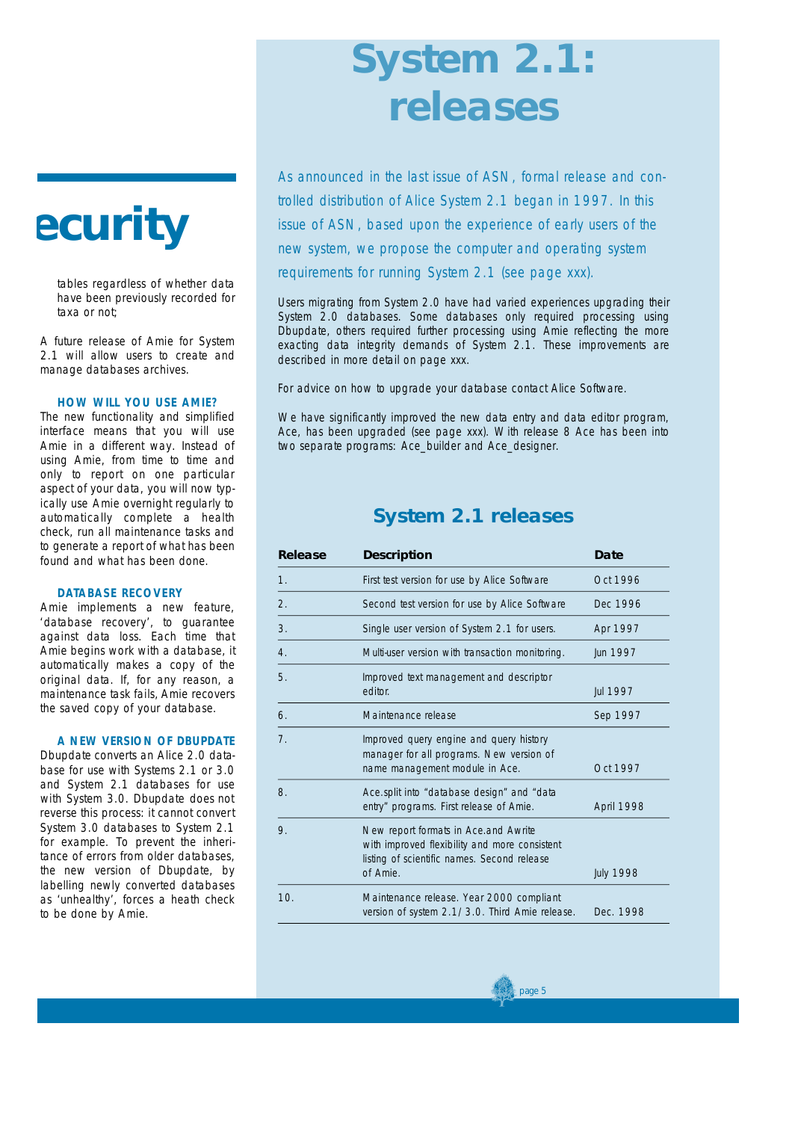## **ecurity**

*tables regardless of whether data have been previously recorded for taxa or not;*

*A future release of* Amie for System 2.1 *will allow users to create and manage databases archives.*

## **HOW WILL YOU USE AMIE?**

*T*he new functionality and simplified interface means that you will use *Amie* in a different way. Instead of using Amie, from time to time and only to report on one particular aspect of your data, you will now typically use *Amie* overnight regularly to automatically complete a health check, run all maintenance tasks and to generate a report of what has been found and what has been done.

## **D ATABASE RECOVERY**

Amie implements a new feature, 'database recovery', to guarantee against data loss. Each time that *Amie* begins work with a database, it automatically makes a copy of the original data. If, for any reason, a maintenance task fails, *Amie* recovers the saved copy of your database.

### **A NEW VERSION OF DBUPDATE**

*Dbupdate* converts an Alice 2.0 database for use with Systems 2.1 or 3.0 and System 2.1 databases for use with System 3.0. *Dbupdate* does not reverse this process: it cannot convert System 3.0 databases to System 2.1 for example. To prevent the inheritance of errors from older databases, the new version of *Dbupdate,* by labelling newly converted databases as 'unhealthy', forces a heath check to be done by *Amie*.

## **System 2.1: releases**

*As announced in the last issue of ASN, formal release and controlled distribution of Alice System 2.1 began in 1997. In this issue of ASN, based upon the experience of early users of the new system, we propose the computer and operating system requirements for running System 2.1 (see page xxx).*

Users migrating from System 2.0 have had varied experiences upgrading their System 2.0 databases. Some databases only required processing using *Dbupdate*, others required further processing using *Amie* reflecting the more exacting data integrity demands of System 2.1. These improvements are described in more detail on page xxx.

For advice on how to upgrade your database contact Alice Software.

We have significantly improved the new data entry and data editor program, *Ace*, has been upgraded (see page xxx). With release 8 *Ace* has been into two separate programs: *Ace\_builder* and *Ace\_designer*.

## **System 2.1 releases**

| Release               | <b>Description</b>                                                                                                                               | Date             |
|-----------------------|--------------------------------------------------------------------------------------------------------------------------------------------------|------------------|
| 1.                    | First test version for use by Alice Software                                                                                                     | Oct 1996         |
| $\mathcal{P}_{\cdot}$ | Second test version for use by Alice Software                                                                                                    | Dec 1996         |
| 3.                    | Single user version of System 2.1 for users.                                                                                                     | Apr 1997         |
| 4.                    | Multi-user version with transaction monitoring.                                                                                                  | Jun 1997         |
| 5.                    | Improved text management and descriptor<br>editor.                                                                                               | Jul 1997         |
| 6.                    | Maintenance release                                                                                                                              | Sep 1997         |
| 7 <sub>1</sub>        | Improved query engine and query history<br>manager for all programs. New version of<br>name management module in Ace.                            | Oct 1997         |
| 8.                    | Ace.split into "database design" and "data<br>entry" programs. First release of Amie.                                                            | April 1998       |
| 9.                    | New report formats in Ace.and Awrite<br>with improved flexibility and more consistent<br>listing of scientific names. Second release<br>of Amie. | <b>July 1998</b> |
| 10.                   | Maintenance release. Year 2000 compliant<br>version of system 2.1/3.0. Third Amie release.                                                       | Dec. 1998        |

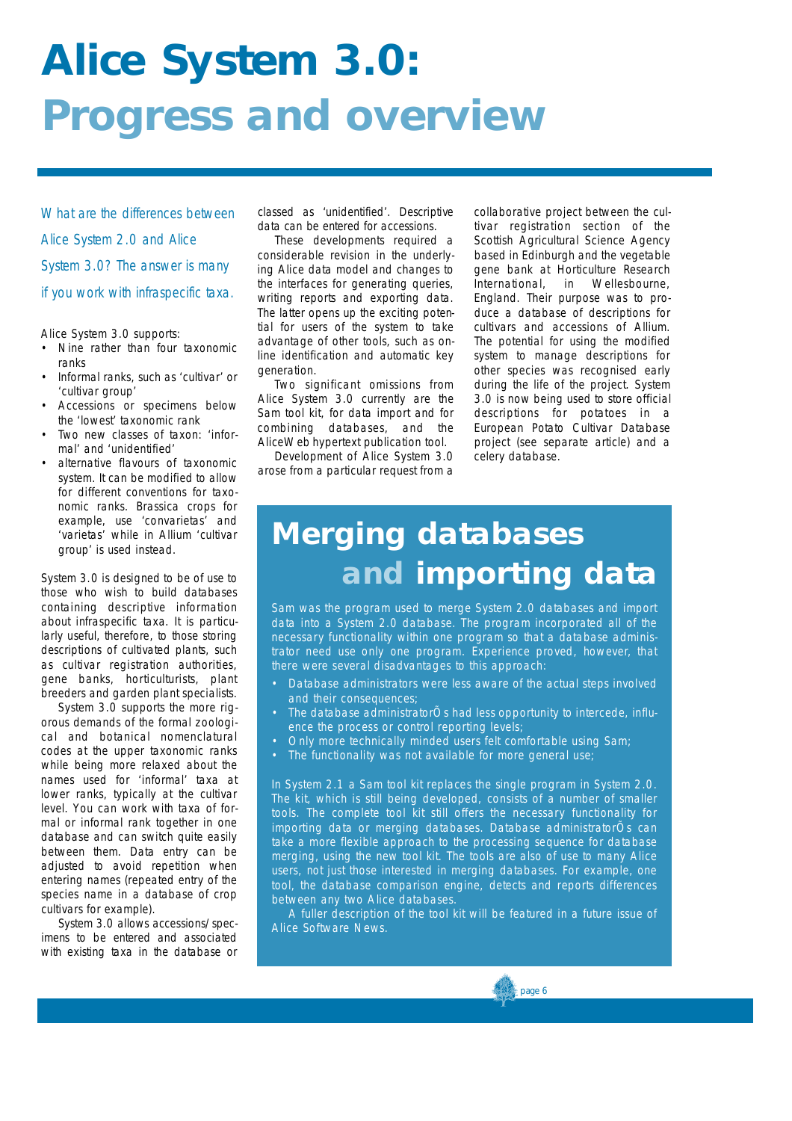## **Alice System 3.0: Progress and overview**

*What are the differences between Alice System 2.0 and Alice System 3.0? The answer is many if you work with infraspecific taxa.*

Alice System 3.0 supports:

- Nine rather than four taxonomic ranks
- Informal ranks, such as 'cultivar' or 'cultivar group'
- Accessions or specimens below the 'lowest' taxonomic rank
- Two new classes of taxon: 'informal' and 'unidentified'
- alternative flavours of taxonomic system. It can be modified to allow for different conventions for taxonomic ranks. *Brassica* crops for example, use 'convarietas' and 'varietas' while in *Allium* 'cultivar group' is used instead.

System 3.0 is designed to be of use to those who wish to build databases containing descriptive information about infraspecific taxa. It is particularly useful, therefore, to those storing descriptions of cultivated plants, such as cultivar registration authorities, gene banks, horticulturists, plant breeders and garden plant specialists.

System 3.0 supports the more rigorous demands of the formal zoological and botanical nomenclatural codes at the upper taxonomic ranks while being more relaxed about the names used for 'informal' taxa at lower ranks, typically at the cultivar level. You can work with taxa of formal or informal rank together in one database and can switch quite easily between them. Data entry can be adjusted to avoid repetition when entering names (repeated entry of the species name in a database of crop cultivars for example).

System 3.0 allows accessions/specimens to be entered and associated with existing taxa in the database or

classed as 'unidentified'. Descriptive data can be entered for accessions.

These developments required a considerable revision in the underlying Alice data model and changes to the interfaces for generating queries, writing reports and exporting data. The latter opens up the exciting potential for users of the system to take advantage of other tools, such as online identification and automatic key generation.

Two significant omissions from Alice System 3.0 currently are the *Sam tool kit*, for data import and for combining databases, and the *AliceWeb* hypertext publication tool.

Development of Alice System 3.0 arose from a particular request from a

collaborative project between the cultivar registration section of the Scottish Agricultural Science Agency based in Edinburgh and the vegetable gene bank at Horticulture Research<br>International, in Wellesbourne, International, in Wellesbourne, England. Their purpose was to produce a database of descriptions for cultivars and accessions of *Allium*. The potential for using the modified system to manage descriptions for other species was recognised early during the life of the project. System 3.0 is now being used to store official descriptions for potatoes in a European Potato Cultivar Database project (see separate article) and a celery database.

## **M e rging databases**  and importing data

*Sam* was the program used to merge System 2.0 databases and import data into a System 2.0 database. The program incorporated all of the necessary functionality within one program so that a database administrator need use only one program. Experience proved, however, that there were several disadvantages to this approach:

- Database administrators were less aware of the actual steps involved and their consequences;
- The database administratorÕs had less opportunity to intercede, influence the process or control reporting levels;
- Only more technically minded users felt comfortable using Sam;
- The functionality was not available for more general use;

In System 2.1 a *Sam tool kit* replaces the single program in System 2.0. The kit, which is still being developed, consists of a number of smaller tools. The complete tool kit still offers the necessary functionality for importing data or merging databases. Database administratorÕs can take a more flexible approach to the processing sequence for database merging, using the new tool kit. The tools are also of use to many Alice users, not just those interested in merging databases. For example, one tool, the database comparison engine, detects and reports differences between any two Alice databases.

A fuller description of the tool kit will be featured in a future issue of Alice Software News.

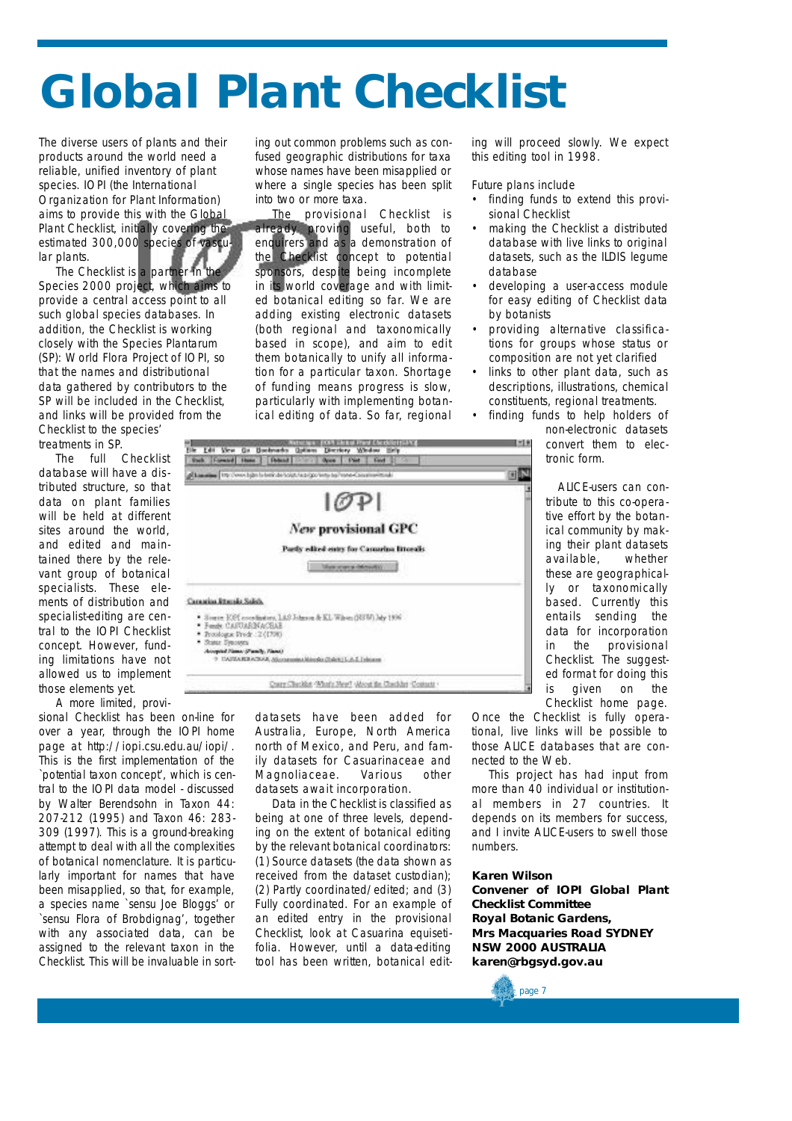## **Global Plant Checklist**

The diverse users of plants and their products around the world need a reliable, unified inventory of plant species. IOPI (the International Organization for Plant Information) aims to provide this with the Global Plant Checklist, initially covering the estimated 300,000 species of vascular plants.

The Checklist is a partner in the Species 2000 project, which aims to provide a central access point to all such global species databases. In addition, the Checklist is working closely with the Species Plantarum (SP): World Flora Project of IOPI, so that the names and distributional data gathered by contributors to the SP will be included in the Checklist, and links will be provided from the Checklist to the species'

treatments in SP.

The full Checklist database will have a distributed structure, so that data on plant families will be held at different sites around the world, and edited and maintained there by the relevant group of botanical specialists. These elements of distribution and specialist-editing are central to the IOPI Checklist concept. However, funding limitations have not allowed us to implement those elements yet.

A more limited, provi-

sional Checklist has been on-line for over a year, through the IOPI home page at http://iopi.csu.edu.au/iopi/. This is the first implementation of the `potential taxon concept', which is central to the IOPI data model - discussed by Walter Berendsohn in Taxon 44: 207-212 (1995) and Taxon 46: 283- 309 (1997). This is a ground-breaking attempt to deal with all the complexities of botanical nomenclature. It is particularly important for names that have been misapplied, so that, for example, a species name `sensu Joe Bloggs' or `sensu Flora of Brobdignag', together with any associated data, can be assigned to the relevant taxon in the Checklist. This will be invaluable in sorting out common problems such as confused geographic distributions for taxa whose names have been misapplied or where a single species has been split into two or more taxa.

The provisional Checklist is already proving useful, both to enquirers and as a demonstration of the Checklist concept to potential sponsors, despite being incomplete in its world coverage and with limited botanical editing so far. We are adding existing electronic datasets (both regional and taxonomically based in scope), and aim to edit them botanically to unify all information for a particular taxon. Shortage of funding means progress is slow, particularly with implementing botanical editing of data. So far, regional

ing will proceed slowly. We expect this editing tool in 1998.

Future plans include

- finding funds to extend this provisional Checklist
- making the Checklist a distributed database with live links to original datasets, such as the ILDIS legume database
- developing a user-access module for easy editing of Checklist data by botanists
- providing alternative classifications for groups whose status or composition are not yet clarified
- links to other plant data, such as descriptions, illustrations, chemical constituents, regional treatments.
- finding funds to help holders of

non-electronic datasets convert them to electronic form.

ALICE-users can contribute to this co-operative effort by the botanical community by making their plant datasets available, whether these are geographically or taxonomically based. Currently this entails sending the data for incorporation in the provisional Checklist. The suggested format for doing this is given on the Checklist home page.

Once the Checklist is fully operational, live links will be possible to those ALICE databases that are connected to the Web.

This project has had input from more than 40 individual or institutional members in 27 countries. It depends on its members for success, and I invite ALICE-users to swell those numbers.

## **Karen Wilson**

**Convener of IOPI Global Plant Checklist Committee Royal Botanic Gardens, Mrs Macquaries Road SYDNEY NSW 2000 AUSTRALIA karen@rbgsyd.gov.au**



datasets have been added for Australia, Europe, North America north of Mexico, and Peru, and family datasets for Casuarinaceae and Magnoliaceae. Various other datasets await incorporation.

Data in the Checklist is classified as being at one of three levels, depending on the extent of botanical editing by the relevant botanical coordinators: (1) Source datasets (the data shown as received from the dataset custodian); (2) Partly coordinated/edited; and (3) Fully coordinated. For an example of an edited entry in the provisional Checklist, look at *Casuarina equisetifolia*. However, until a data-editing tool has been written, botanical edit-

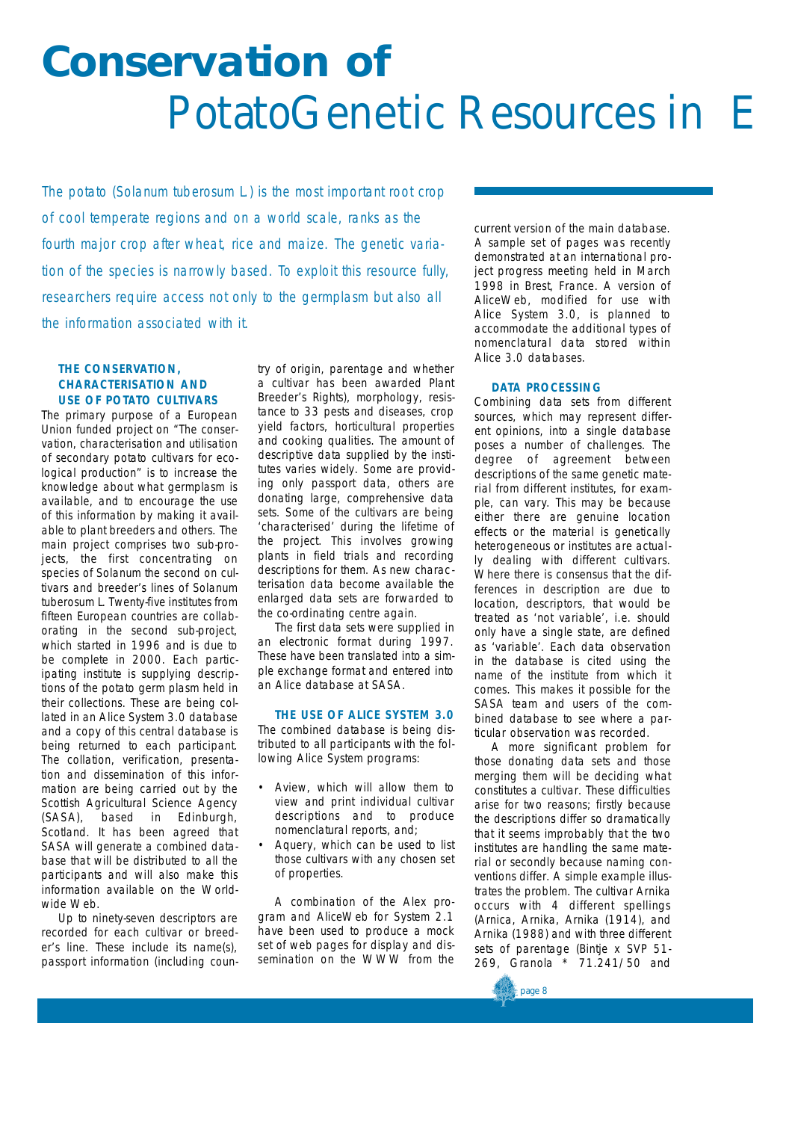## **Conservation of**  PotatoGenetic Resources in E

*The potato (Solanum tuberosum L.) is the most important root crop of cool temperate regions and on a world scale, ranks as the* fourth major crop after wheat, rice and maize. The genetic varia*tion of the species is narrowly based. To exploit this resource fully, researchers require access not only to the germplasm but also all the information associated with it.*

## **THE CONSERVATION, CHARACTERISATION AND USE OF POTATO CULTIVARS**

The primary purpose of a European Union funded project on "The conservation, characterisation and utilisation of secondary potato cultivars for ecological production" is to increase the knowledge about what germplasm is available, and to encourage the use of this information by making it available to plant breeders and others. The main project comprises two sub-projects, the first concentrating on species of *Solanum* the second on cultivars and breeder's lines of *Solanum tuberosum* L. Twenty-five institutes from fifteen European countries are collaborating in the second sub-project, which started in 1996 and is due to be complete in 2000. Each participating institute is supplying descriptions of the potato germ plasm held in their collections. These are being collated in an Alice System 3.0 database and a copy of this central database is being returned to each participant. The collation, verification, presentation and dissemination of this information are being carried out by the Scottish Agricultural Science Agency (SASA), based in Edinburgh, Scotland. It has been agreed that SASA will generate a combined database that will be distributed to all the participants and will also make this information available on the Worldwide Web.

Up to ninety-seven descriptors are recorded for each cultivar or breeder's line. These include its name(s), passport information (including country of origin, parentage and whether a cultivar has been awarded Plant Breeder's Rights), morphology, resistance to 33 pests and diseases, crop yield factors, horticultural properties and cooking qualities. The amount of descriptive data supplied by the institutes varies widely. Some are providing only passport data, others are donating large, comprehensive data sets. Some of the cultivars are being 'characterised' during the lifetime of the project. This involves growing plants in field trials and recording descriptions for them. As new characterisation data become available the enlarged data sets are forwarded to the co-ordinating centre again.

The first data sets were supplied in an electronic format during 1997. These have been translated into a simple exchange format and entered into an Alice database at SASA.

## **THE USE OF ALICE SYSTEM 3.0**

The combined database is being distributed to all participants with the following Alice System programs:

- *Aview*, which will allow them to view and print individual cultivar descriptions and to produce nomenclatural reports, and;
- *Aquery*, which can be used to list those cultivars with any chosen set of properties.

A combination of the Alex program and AliceWeb for System 2.1 have been used to produce a mock set of web pages for display and dissemination on the WWW from the

current version of the main database. A sample set of pages was recently demonstrated at an international project progress meeting held in March 1998 in Brest, France. A version of AliceWeb, modified for use with Alice System 3.0, is planned to accommodate the additional types of nomenclatural data stored within Alice 3.0 databases.

## **D ATA PROCESSING**

Combining data sets from different sources, which may represent different opinions, into a single database poses a number of challenges. The degree of agreement between descriptions of the same genetic material from different institutes, for example, can vary. This may be because either there are genuine location effects or the material is genetically heterogeneous or institutes are actually dealing with different cultivars. Where there is consensus that the differences in description are due to location, descriptors, that would be treated as 'not variable', i.e. should only have a single state, are defined as 'variable'. Each data observation in the database is cited using the name of the institute from which it comes. This makes it possible for the SASA team and users of the combined database to see where a particular observation was recorded.

A more significant problem for those donating data sets and those merging them will be deciding what constitutes a cultivar. These difficulties arise for two reasons; firstly because the descriptions differ so dramatically that it seems improbably that the two institutes are handling the same material or secondly because naming conventions differ. A simple example illustrates the problem. The cultivar Arnika occurs with 4 different spellings (Arnica, Arnika, Arnika (1914), and Arnika (1988) and with three different sets of parentage (Bintje x SVP 51- 269, Granola \* 71.241/50 and

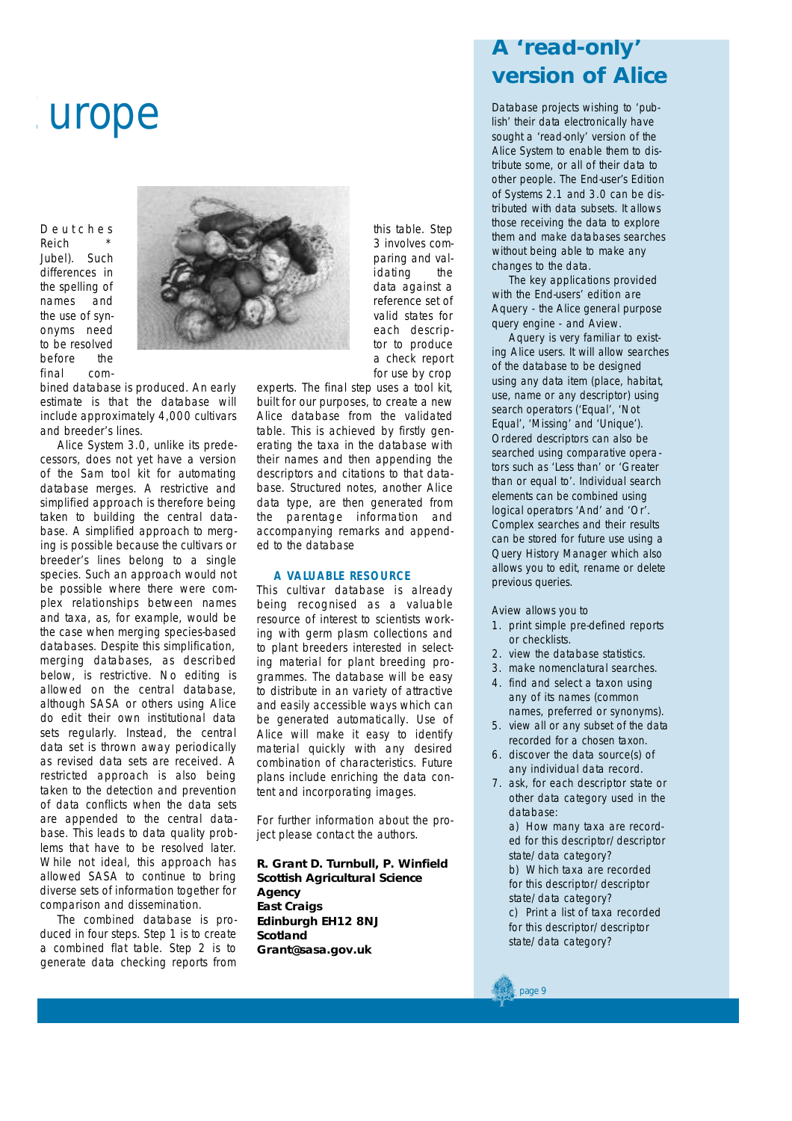## **Europe**

D e u t c h e s

**Reich** Jubel). Such differences in the spelling of names and the use of synonyms need to be resolved before the final com-



bined database is produced. An early estimate is that the database will include approximately 4,000 cultivars and breeder's lines.

Alice System 3.0, unlike its predecessors, does not yet have a version of the Sam tool kit for automating database merges. A restrictive and simplified approach is therefore being taken to building the central database. A simplified approach to merging is possible because the cultivars or breeder's lines belong to a single species. Such an approach would not be possible where there were complex relationships between names and taxa, as, for example, would be the case when merging species-based databases. Despite this simplification, merging databases, as described below, is restrictive. No editing is allowed on the central database, although SASA or others using Alice do edit their own institutional data sets regularly. Instead, the central data set is thrown away periodically as revised data sets are received. A restricted approach is also being taken to the detection and prevention of data conflicts when the data sets are appended to the central database. This leads to data quality problems that have to be resolved later. While not ideal, this approach has allowed SASA to continue to bring diverse sets of information together for comparison and dissemination.

The combined database is produced in four steps. Step 1 is to create a combined flat table. Step 2 is to generate data checking reports from

this table. Step 3 involves comparing and validating the data against a reference set of valid states for each descriptor to produce a check report for use by crop

experts. The final step uses a tool kit, built for our purposes, to create a new Alice database from the validated table. This is achieved by firstly generating the taxa in the database with their names and then appending the descriptors and citations to that database. Structured notes, another Alice data type, are then generated from the parentage information and accompanying remarks and appended to the database

## **A VALUABLE RESOURCE**

This cultivar database is already being recognised as a valuable resource of interest to scientists working with germ plasm collections and to plant breeders interested in selecting material for plant breeding programmes. The database will be easy to distribute in an variety of attractive and easily accessible ways which can be generated automatically. Use of Alice will make it easy to identify material quickly with any desired combination of characteristics. Future plans include enriching the data content and incorporating images.

For further information about the project please contact the authors.

**R. Grant D. Turnbull, P. Winfield Scottish Agricultural Science Agency East Craigs Edinburgh EH12 8NJ Scotland Grant@sasa.gov.uk**

## **A 'read-only' version of Alice**

Database projects wishing to 'publish' their data electronically have sought a 'read-only' version of the Alice System to enable them to distribute some, or all of their data to other people. The End-user's Edition of Systems 2.1 and 3.0 can be distributed with data subsets. It allows those receiving the data to explore them and make databases searches without being able to make any changes to the data.

The key applications provided with the End-users' edition are *Aquery* - the Alice general purpose query engine - and *Aview*.

*Aquery* is very familiar to existing Alice users. It will allow searches of the database to be designed using any data item (place, habitat, use, name or any descriptor) using search operators ('Equal', 'Not Equal', 'Missing' and 'Unique'). Ordered descriptors can also be searched using comparative operators such as 'Less than' or 'Greater than or equal to'. Individual search elements can be combined using logical operators 'And' and 'Or'. Complex searches and their results can be stored for future use using a Query History Manager which also allows you to edit, rename or delete previous queries.

*Aview* allows you to

- 1. print simple pre-defined reports or checklists.
- 2. view the database statistics.
- 3. make nomenclatural searches.
- 4. find and select a taxon using any of its names (common names, preferred or synonyms).
- 5 . view all or any subset of the data recorded for a chosen taxon.
- 6. discover the data source(s) of any individual data record.
- 7. ask, for each descriptor state or other data category used in the database:

a) How many taxa are recorded for this descriptor/descriptor state/data category?

b) Which taxa are recorded for this descriptor/descriptor state/data category?

c) Print a list of taxa recorded for this descriptor/descriptor state/data category?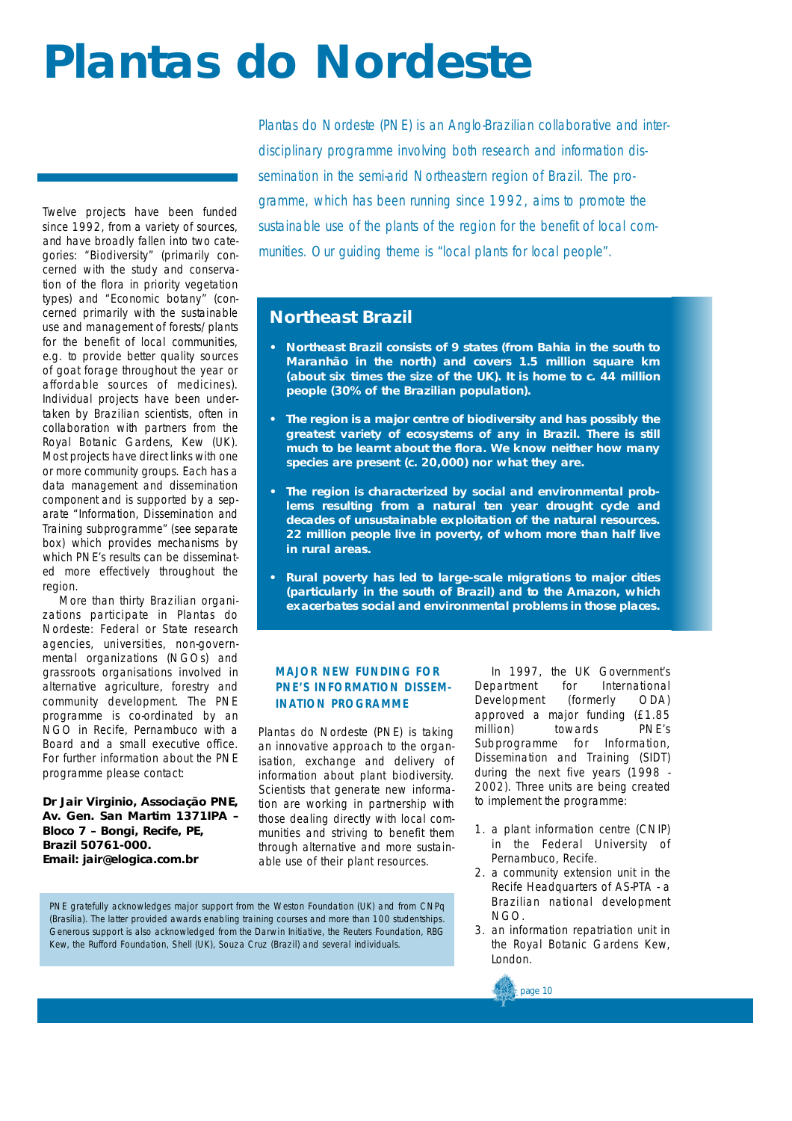## **Plantas do Nordeste**

Twelve projects have been funded since 1992, from a variety of sources, and have broadly fallen into two categories: "Biodiversity" (primarily concerned with the study and conservation of the flora in priority vegetation types) and "Economic botany" (concerned primarily with the sustainable use and management of forests/plants for the benefit of local communities, e.g. to provide better quality sources of goat forage throughout the year or affordable sources of medicines). Individual projects have been undertaken by Brazilian scientists, often in collaboration with partners from the Royal Botanic Gardens, Kew (UK). Most projects have direct links with one or more community groups. Each has a data management and dissemination component and is supported by a separate "Information, Dissemination and Training subprogramme" (see separate box) which provides mechanisms by which PNE's results can be disseminated more effectively throughout the region.

More than thirty Brazilian organizations participate in Plantas do Nordeste: Federal or State research agencies, universities, non-governmental organizations (NGOs) and grassroots organisations involved in alternative agriculture, forestry and community development. The PNE programme is co-ordinated by an NGO in Recife, Pernambuco with a Board and a small executive office. For further information about the PNE programme please contact:

**Dr Jair Virginio, Associação PNE, Av. Gen. San Martim 1371IPA – Bloco 7 – Bongi, Recife, PE, Brazil 50761-000. Email: jair@elogica.com.br**

*Plantas do Nordeste (PNE) is an Anglo-Brazilian collaborative and inter*disciplinary programme involving both research and information dissemination in the semi-arid Northeastern region of Brazil. The pro*gramme, which has been running since 1992, aims to promote the sustainable use of the plants of the region for the benefit of local communities. Our guiding theme is "local plants for local people".*

## **Northeast Brazil**

- **• N o rtheast Brazil consists of 9 states (from Bahia in the south to Maranhão in the north) and covers 1.5 million square km (about six times the size of the UK). It is home to c. 44 million people (30% of the Brazilian population).**
- **The region is a major centre of biodiversity and has possibly the greatest variety of ecosystems of any in Brazil. There is still much to be learnt about the flora. We know neither how many species are present (c. 20,000) nor what they are.**
- The region is characterized by social and environmental prob**lems resulting from a natural ten year drought cycle and decades of unsustainable exploitation of the natural resources.** 22 million people live in poverty, of whom more than half live **in rural areas.**
- **Rural poverty has led to large-scale migrations to major cities** (particularly in the south of Brazil) and to the Amazon, which **exacerbates social and environmental problems in those places.**

## **MAJOR NEW FUNDING FOR PNE'S INFORMATION DISSEM-INATION PROGRAMME**

Plantas do Nordeste (PNE) is taking an innovative approach to the organisation, exchange and delivery of information about plant biodiversity. Scientists that generate new information are working in partnership with those dealing directly with local communities and striving to benefit them through alternative and more sustainable use of their plant resources.

In 1997, the UK Government's Department for International Development (formerly ODA) approved a major funding (£1.85 million) towards PNE's Subprogramme for Information, Dissemination and Training (SIDT) during the next five years (1998 - 2002). Three units are being created to implement the programme:

- 1. a plant information centre (CNIP) in the Federal University of Pernambuco, Recife.
- 2. a community extension unit in the Recife Headquarters of AS-PTA - a Brazilian national development NGO.
- 3. an information repatriation unit in the Royal Botanic Gardens Kew, London.



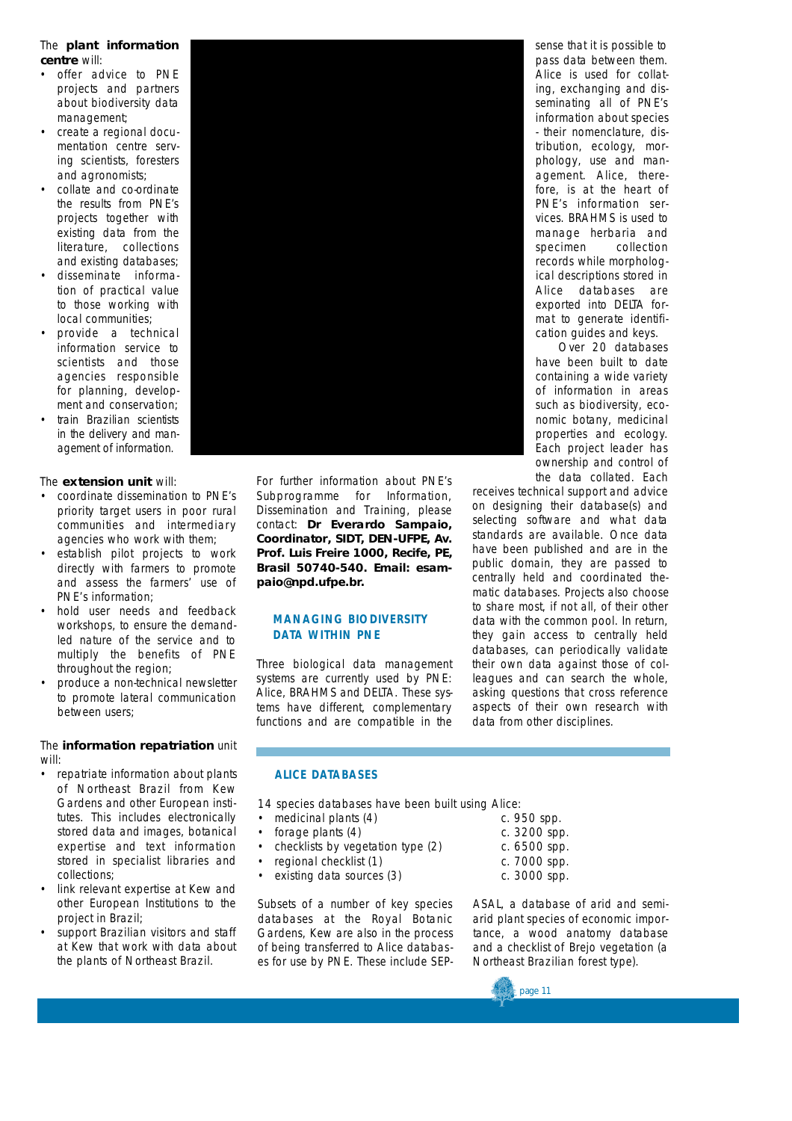## The **plant information** centre will:

- offer advice to PNE projects and partners about biodiversity data management;
- create a regional documentation centre serving scientists, foresters and agronomists;
- collate and co-ordinate the results from PNE's projects together with existing data from the literature, collections and existing databases;
- disseminate information of practical value to those working with local communities;
- provide a technical information service to scientists and those agencies responsible for planning, development and conservation;
- train Brazilian scientists in the delivery and management of information.

## The **extension unit** will:

- coordinate dissemination to PNE's priority target users in poor rural communities and intermediary agencies who work with them;
- establish pilot projects to work directly with farmers to promote and assess the farmers' use of PNE's information;
- hold user needs and feedback workshops, to ensure the demandled nature of the service and to multiply the benefits of PNE throughout the region;
- produce a non-technical newsletter to promote lateral communication between users;

## The **information repatriation** unit will:

- repatriate information about plants of Northeast Brazil from Kew Gardens and other European institutes. This includes electronically stored data and images, botanical expertise and text information stored in specialist libraries and collections;
- link relevant expertise at Kew and other European Institutions to the project in Brazil;
- support Brazilian visitors and staff at Kew that work with data about the plants of Northeast Brazil.



For further information about PNE's Subprogramme for Information, Dissemination and Training, please contact: **Dr Everardo Sampaio, Coordinator, SIDT, DEN-UFPE, Av. Prof. Luis Freire 1000, Recife, PE, Brasil 50740-540. Email: esampaio@npd.ufpe.br.**

## **MANAGING BIODIVERSITY D ATA WITHIN PNE**

Three biological data management systems are currently used by PNE: *Alice*, *BRAHMS* and *DELTA*. These systems have different, complementary functions and are compatible in the sense that it is possible to pass data between them. *Alice* is used for collating, exchanging and disseminating all of PNE's information about species - their nomenclature, distribution, ecology, morphology, use and management. Alice, therefore, is at the heart of PNE's information services. *BRAHMS* is used to manage herbaria and specimen collection records while morphological descriptions stored in Alice databases are exported into *DELTA* format to generate identification guides and keys.

Over 20 databases have been built to date containing a wide variety of information in areas such as biodiversity, economic botany, medicinal properties and ecology. Each project leader has ownership and control of the data collated. Each

receives technical support and advice on designing their database(s) and selecting software and what data standards are available. Once data have been published and are in the public domain, they are passed to centrally held and coordinated thematic databases. Projects also choose to share most, if not all, of their other data with the common pool. In return, they gain access to centrally held databases, can periodically validate their own data against those of colleagues and can search the whole, asking questions that cross reference aspects of their own research with data from other disciplines.

## **ALICE DATABASES**

- 14 species databases have been built using Alice:
- medicinal plants (4) c. 950 spp.
- forage plants (4) c. 3200 spp.
- checklists by vegetation type (2) c. 6500 spp.
- regional checklist (1) c. 7000 spp.
- existing data sources (3) c. 3000 spp.

Subsets of a number of key species databases at the Royal Botanic Gardens, Kew are also in the process of being transferred to Alice databases for use by PNE. These include SEP-

- 
- 
- 
- 
- 

ASAL, a database of arid and semiarid plant species of economic importance, a wood anatomy database and a checklist of *Brejo* vegetation (a Northeast Brazilian forest type).

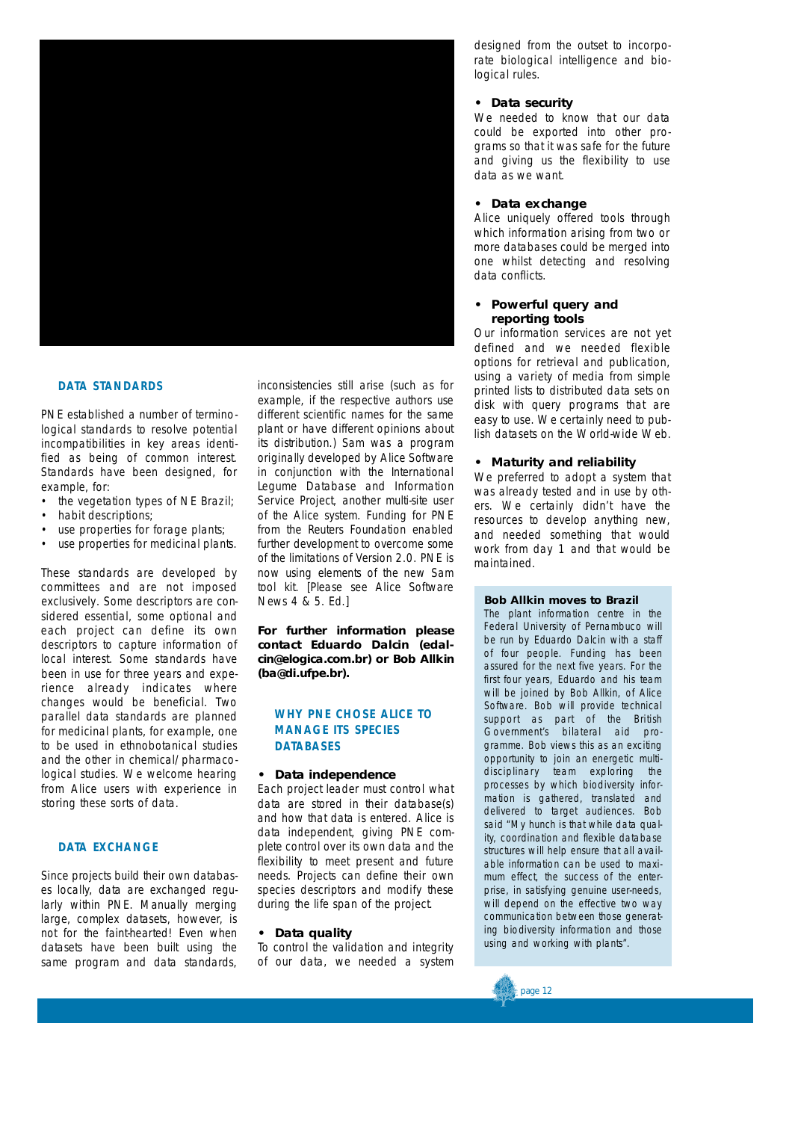

## **DATA STANDARDS**

PNE established a number of terminological standards to resolve potential incompatibilities in key areas identified as being of common interest. Standards have been designed, for example, for:

- the vegetation types of NE Brazil:
- habit descriptions;
- use properties for forage plants;
- use properties for medicinal plants.

These standards are developed by committees and are not imposed exclusively. Some descriptors are considered essential, some optional and each project can define its own descriptors to capture information of local interest. Some standards have been in use for three years and experience already indicates where changes would be beneficial. Two parallel data standards are planned for medicinal plants, for example, one to be used in ethnobotanical studies and the other in chemical/pharmacological studies. We welcome hearing from Alice users with experience in storing these sorts of data.

## **D ATA EXCHANGE**

Since projects build their own databases locally, data are exchanged regularly within PNE. Manually merging large, complex datasets, however, is not for the faint-hearted! Even when datasets have been built using the same program and data standards,

inconsistencies still arise (such as for example, if the respective authors use different scientific names for the same plant or have different opinions about its distribution.) Sam was a program originally developed by Alice Software in conjunction with the International Legume Database and Information Service Project, another multi-site user of the Alice system. Funding for PNE from the Reuters Foundation enabled further development to overcome some of the limitations of Version 2.0. PNE is now using elements of the new Sam *tool kit*. [Please see Alice Software News 4 & 5. *Ed.*]

**For further information please contact Eduardo Dalcin (edalcin@elogica.com.br) or Bob Allkin** (ba@di.ufpe.br).

## **WHY PNE CHOSE ALICE TO MANAGE ITS SPECIES DATABASES**

### **• Data independence**

Each project leader must control what data are stored in their database(s) and how that data is entered. Alice is data independent, giving PNE complete control over its own data and the flexibility to meet present and future needs. Projects can define their own species descriptors and modify these during the life span of the project.

### **• Data quality**

To control the validation and integrity of our data, we needed a system designed from the outset to incorporate biological intelligence and biological rules.

### **• Data security**

We needed to know that our data could be exported into other programs so that it was safe for the future and giving us the flexibility to use data as we want.

### **• Data exchange**

Alice uniquely offered tools through which information arising from two or more databases could be merged into one whilst detecting and resolving data conflicts.

### **• Powerful query and reporting tools**

Our information services are not yet defined and we needed flexible options for retrieval and publication, using a variety of media from simple printed lists to distributed data sets on disk with query programs that are easy to use. We certainly need to publish datasets on the World-wide Web.

### **• Maturity and reliability**

We preferred to adopt a system that was already tested and in use by others. We certainly didn't have the resources to develop anything new, and needed something that would work from day 1 and that would be maintained.

### **Bob Allkin moves to Brazil**

The plant information centre in the Federal University of Pernambuco will be run by Eduardo Dalcin with a staff of four people. Funding has been assured for the next five years. For the first four years, Eduardo and his team will be joined by Bob Allkin, of Alice Software. Bob will provide technical support as part of the British Government's bilateral aid programme. Bob views this as an exciting opportunity to join an energetic multidisciplinary team exploring the processes by which biodiversity information is gathered, translated and delivered to target audiences. Bob said "My hunch is that while data quality, coordination and flexible database structures will help ensure that all available information can be used to maximum effect, the success of the enterprise, in satisfying genuine user-needs, will depend on the effective two way communication between those generating biodiversity information and those using and working with plants".

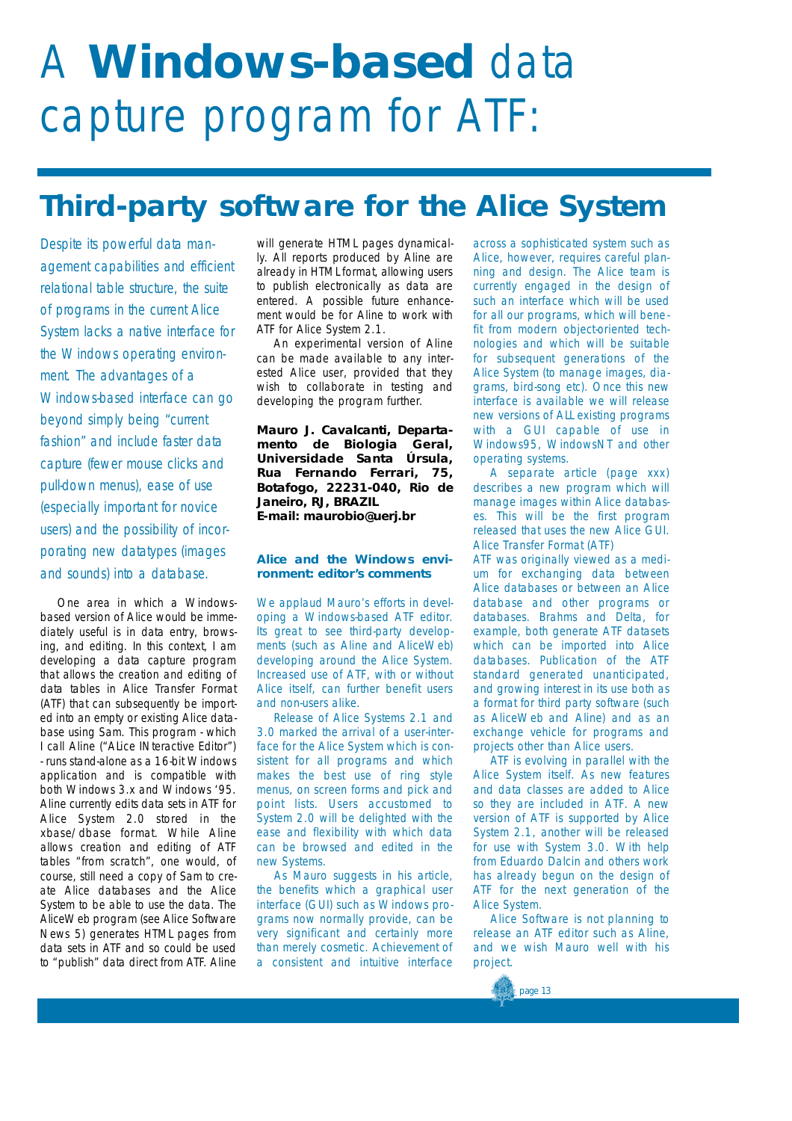# A **Windows-based** data capture program for ATF:

## **Third-party software for the Alice System**

*Despite its powerful data management capabilities and efficient relational table structure, the suite of programs in the current Alice System lacks a native interface for the Windows operating environment. The advantages of a Windows-based interface can go beyond simply being "current fashion" and include faster data capture (fewer mouse clicks and pull-down menus), ease of use (especially important for novice users) and the possibility of incorporating new datatypes (images and sounds) into a database.*

One area in which a Windowsbased version of Alice would be immediately useful is in data entry, browsing, and editing. In this context, I am developing a data capture program that allows the creation and editing of data tables in Alice Transfer Format ( ATF) that can subsequently be imported into an empty or existing Alice database using *Sam*. This program - which I call *Aline* ("Alice *INteractive Editor"*) - runs stand-alone as a 16-bit Windows application and is compatible with both Windows 3.*x* and Windows '95. Aline currently edits data sets in ATF for Alice System 2.0 stored in the xbase/dbase format. While Aline allows creation and editing of ATF tables "from scratch", one would, of course, still need a copy of Sam to create Alice databases and the Alice System to be able to use the data. The AliceWeb program (see Alice Software News 5) generates HTML pages from data sets in ATF and so could be used to "publish" data direct from ATF. Aline

will generate HTML pages dynamically. All reports produced by *Aline* are already in HTML format, allowing users to publish electronically as data are entered. A possible future enhancement would be for *Aline* to work with ATF for Alice System 2.1.

An experimental version of *Aline* can be made available to any interested Alice user, provided that they wish to collaborate in testing and developing the program further.

**Mauro J. Cavalcanti, Departamento de Biologia Geral, Universidade Santa Úrsula, Rua Fernando Ferrari, 75, Botafogo, 22231-040, Rio de Janeiro, RJ, BRAZIL E-mail: maurobio@uerj.br**

## **Alice and the Windows environment: editor's comments**

We applaud Mauro's efforts in developing a Windows-based ATF editor. Its great to see third-party developments (such as *Aline* and *AliceWeb*) developing around the Alice System. Increased use of ATF, with or without Alice itself, can further benefit users and non-users alike.

Release of Alice Systems 2.1 and 3.0 marked the arrival of a user-interface for the Alice System which is consistent for all programs and which makes the best use of ring style menus, on screen forms and pick and point lists. Users accustomed to System 2.0 will be delighted with the ease and flexibility with which data can be browsed and edited in the new Systems.

As Mauro suggests in his article, the benefits which a graphical user interface (GUI) such as Windows programs now normally provide, can be very significant and certainly more than merely cosmetic. Achievement of a consistent and intuitive interface across a sophisticated system such as Alice, however, requires careful planning and design. The Alice team is currently engaged in the design of such an interface which will be used for all our programs, which will benefit from modern object-oriented technologies and which will be suitable for subsequent generations of the Alice System (to manage images, diagrams, bird-song etc). Once this new interface is available we will release new versions of ALL existing programs with a GUI capable of use in Windows95, WindowsNT and other operating systems.

A separate article (page xxx) describes a new program which will manage images within Alice databases. This will be the first program released that uses the new Alice GUI. Alice Transfer Format (ATF)

ATF was originally viewed as a medium for exchanging data between Alice databases or between an Alice database and other programs or databases. *Brahms* and *Delta,* for example, both generate ATF datasets which can be imported into Alice databases. Publication of the ATF standard generated unanticipated, and growing interest in its use both as a format for third party software (such as *AliceWeb* and *Aline*) and as an exchange vehicle for programs and projects other than Alice users.

ATF is evolving in parallel with the Alice System itself. As new features and data classes are added to Alice so they are included in ATF. A new version of ATF is supported by Alice System 2.1, another will be released for use with System 3.0. With help from Eduardo Dalcin and others work has already begun on the design of ATF for the next generation of the Alice System.

Alice Software is not planning to release an ATF editor such as *Aline*. and we wish Mauro well with his project.

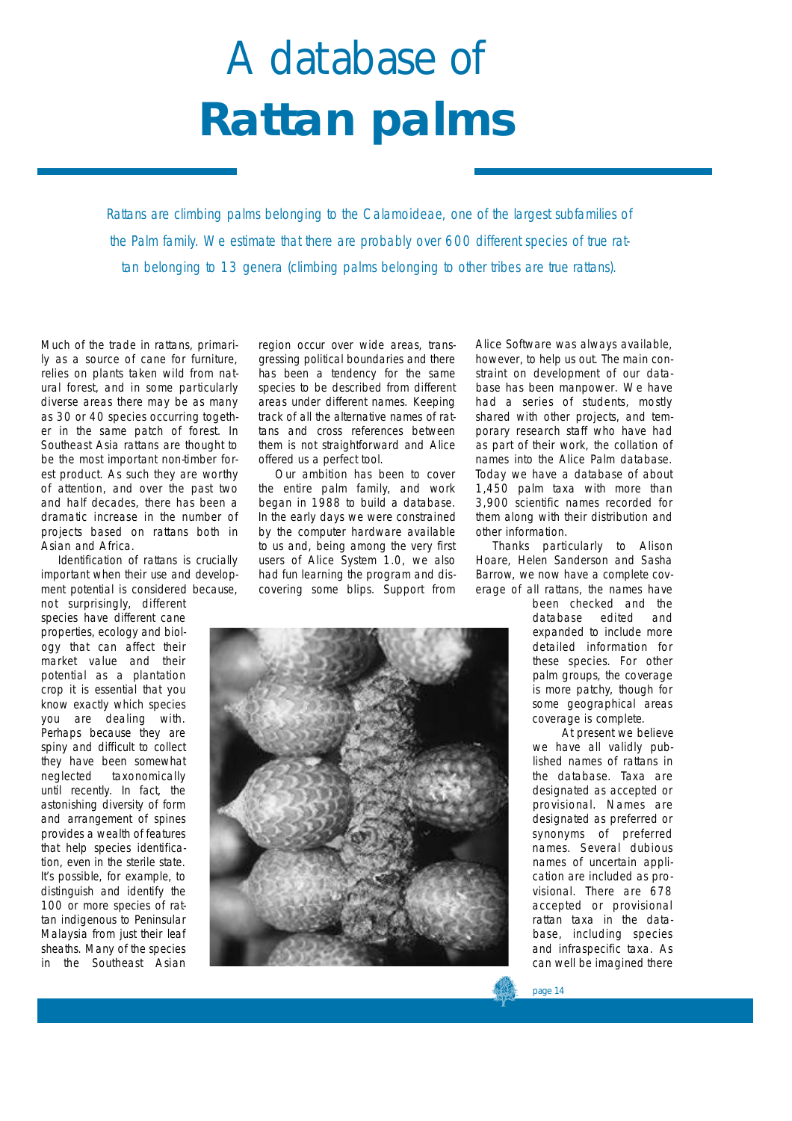# A database of **Rattan palms**

*Rattans are climbing palms belonging to the Calamoideae, one of the largest subfamilies of the Palm family. We estimate that there are probably over 600 different species of true rattan belonging to 13 genera (climbing palms belonging to other tribes are true rattans).* 

Much of the trade in rattans, primari-Iv as a source of cane for furniture. relies on plants taken wild from natural forest, and in some particularly diverse areas there may be as many as 30 or 40 species occurring together in the same patch of forest. In Southeast Asia rattans are thought to be the most important non-timber forest product. As such they are worthy of attention, and over the past two and half decades, there has been a dramatic increase in the number of projects based on rattans both in Asian and Africa.

Identification of rattans is crucially important when their use and development potential is considered because,

not surprisingly, different species have different cane properties, ecology and biology that can affect their market value and their potential as a plantation crop it is essential that you know exactly which species you are dealing with. Perhaps because they are spiny and difficult to collect they have been somewhat neglected taxonomically until recently. In fact, the astonishing diversity of form and arrangement of spines provides a wealth of features that help species identification, even in the sterile state. It's possible, for example, to distinguish and identify the 100 or more species of rattan indigenous to Peninsular Malaysia from just their leaf sheaths. Many of the species in the Southeast Asian

region occur over wide areas, transgressing political boundaries and there has been a tendency for the same species to be described from different areas under different names. Keeping track of all the alternative names of rattans and cross references between them is not straightforward and Alice offered us a perfect tool.

Our ambition has been to cover the entire palm family, and work began in 1988 to build a database. In the early days we were constrained by the computer hardware available to us and, being among the very first users of Alice System 1.0, we also had fun learning the program and discovering some blips. Support from



Alice Software was always available, however, to help us out. The main constraint on development of our database has been manpower. We have had a series of students, mostly shared with other projects, and temporary research staff who have had as part of their work, the collation of names into the Alice Palm database. Today we have a database of about 1,450 palm taxa with more than 3,900 scientific names recorded for them along with their distribution and other information.

Thanks particularly to Alison Hoare, Helen Sanderson and Sasha Barrow, we now have a complete coverage of all rattans, the names have

been checked and the database edited and expanded to include more detailed information for these species. For other palm groups, the coverage is more patchy, though for some geographical areas coverage is complete.

At present we believe we have all validly published names of rattans in the database. Taxa are designated as accepted or provisional. Names are designated as preferred or synonyms of preferred names. Several dubious names of uncertain application are included as provisional. There are 678 accepted or provisional rattan taxa in the database, including species and infraspecific taxa. As can well be imagined there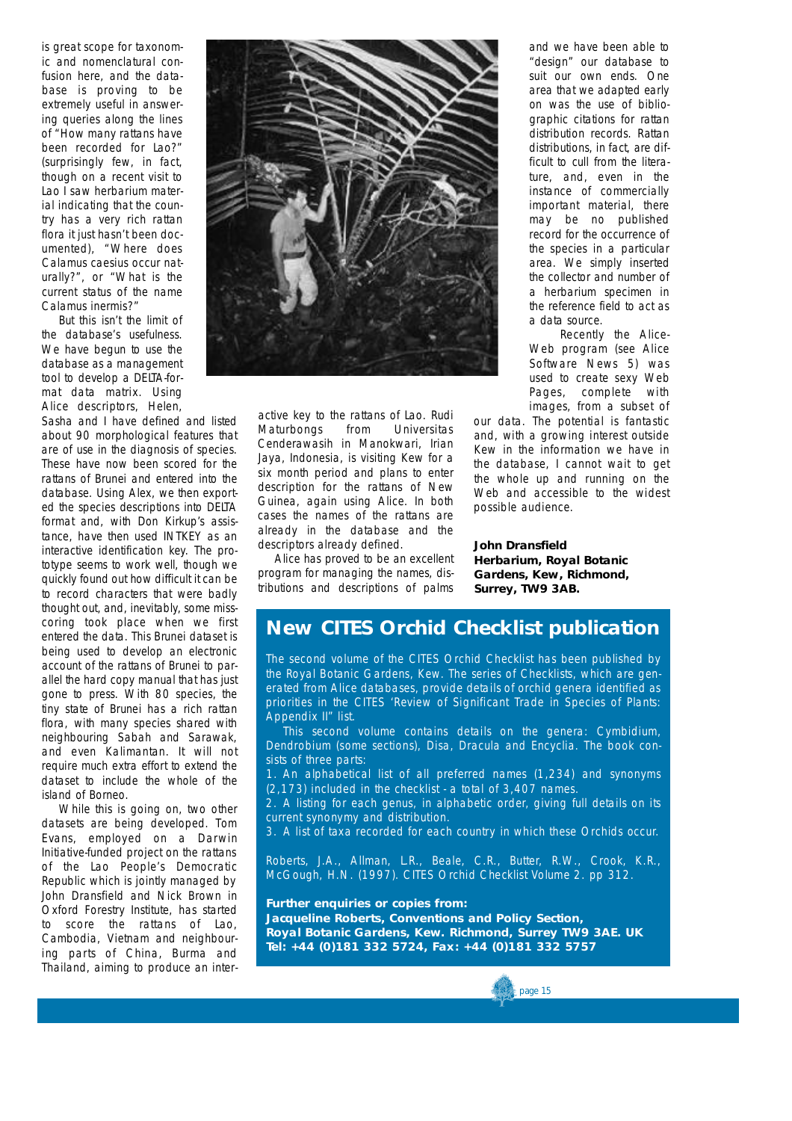is great scope for taxonomic and nomenclatural confusion here, and the database is proving to be extremely useful in answering queries along the lines of "How many rattans have been recorded for Lao?" (surprisingly few, in fact, though on a recent visit to Lao I saw herbarium material indicating that the country has a very rich rattan flora it just hasn't been documented), "Where does *Calamus caesius* occur naturally?", or "What is the current status of the name *Calamus inermis*?"

But this isn't the limit of the database's usefulness. We have begun to use the database as a management tool to develop a DELTA-format data matrix. Using Alice descriptors, Helen,

Sasha and I have defined and listed about 90 morphological features that are of use in the diagnosis of species. These have now been scored for the rattans of Brunei and entered into the database. Using *Alex*, we then exported the species descriptions into DELTA format and, with Don Kirkup's assistance, have then used *INTKEY* as an interactive identification key. The prototype seems to work well, though we quickly found out how difficult it can be to record characters that were badly thought out, and, inevitably, some misscoring took place when we first entered the data. This Brunei dataset is being used to develop an electronic account of the rattans of Brunei to parallel the hard copy manual that has just gone to press. With 80 species, the tiny state of Brunei has a rich rattan flora, with many species shared with neighbouring Sabah and Sarawak, and even Kalimantan. It will not require much extra effort to extend the dataset to include the whole of the island of Borneo.

While this is going on, two other datasets are being developed. Tom Evans, employed on a Darwin Initiative-funded project on the rattans of the Lao People's Democratic Republic which is jointly managed by John Dransfield and Nick Brown in Oxford Forestry Institute, has started to score the rattans of Lao, Cambodia, Vietnam and neighbouring parts of China, Burma and Thailand, aiming to produce an inter-



active key to the rattans of Lao. Rudi<br>Maturbongs from Universitas Maturbongs Cenderawasih in Manokwari, Irian Jaya, Indonesia, is visiting Kew for a six month period and plans to enter description for the rattans of New Guinea, again using Alice. In both cases the names of the rattans are already in the database and the descriptors already defined.

Alice has proved to be an excellent program for managing the names, distributions and descriptions of palms

and we have been able to "design" our database to suit our own ends. One area that we adapted early on was the use of bibliographic citations for rattan distribution records. Rattan distributions, in fact, are difficult to cull from the literature, and, even in the instance of commercially important material, there may be no published record for the occurrence of the species in a particular area. We simply inserted the collector and number of a herbarium specimen in the reference field to act as a data source.

Recently the Alice-Web program (see Alice Software News 5) was used to create sexy Web Pages, complete with images, from a subset of

our data. The potential is fantastic and, with a growing interest outside Kew in the information we have in the database, I cannot wait to get the whole up and running on the Web and accessible to the widest possible audience.

**John Dransfield Herbarium, Royal Botanic Gardens, Kew, Richmond, Surrey, TW9 3AB.**

## **New CITES Orchid Checklist publication**

The second volume of the CITES Orchid Checklist has been published by the Royal Botanic Gardens, Kew. The series of Checklists, which are generated from Alice databases, provide details of orchid genera identified as priorities in the CITES 'Review of Significant Trade in Species of Plants: Appendix II" list.

This second volume contains details on the genera: *Cymbidium*, *Dendrobium* (some sections), *Disa, Dracula* and *Encyclia*. The book consists of three parts:

1 . An alphabetical list of all preferred names (1,234) and synonyms (2,173) included in the checklist - a total of 3,407 names.

2 . A listing for each genus, in alphabetic order, giving full details on its current synonymy and distribution.

3 . A list of taxa recorded for each country in which these Orchids occur.

Roberts, J.A., Allman, L.R., Beale, C.R., Butter, R.W., Crook, K.R., McGough, H.N. (1997). CITES Orchid Checklist Volume 2. pp 312.

**Further enquiries or copies from: Jacqueline Roberts, Conventions and Policy Section, Royal Botanic Gardens, Kew. Richmond, Surrey TW9 3AE. UK Tel: +44 (0)181 332 5724, Fax: +44 (0)181 332 5757**

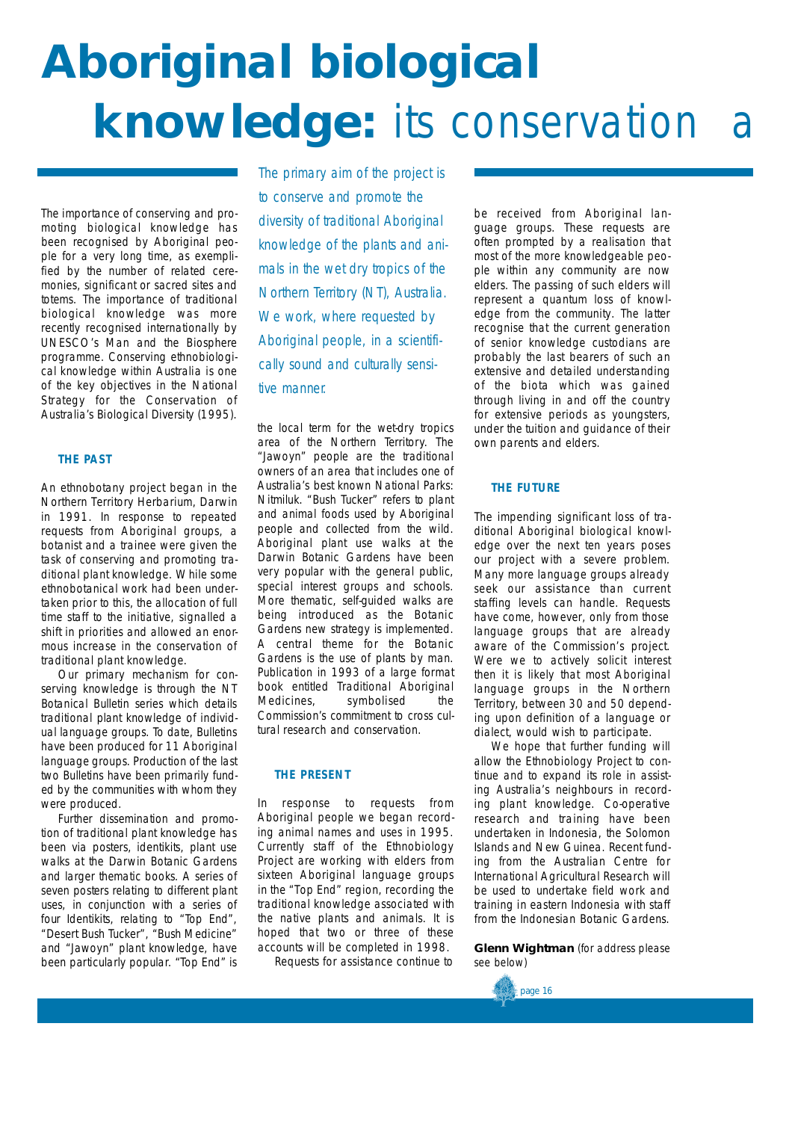# **Aboriginal biological knowledge:** its conservation

The importance of conserving and promoting biological knowledge has been recognised by Aboriginal people for a very long time, as exemplified by the number of related ceremonies, significant or sacred sites and totems. The importance of traditional biological knowledge was more recently recognised internationally by UNESCO's Man and the Biosphere programme. Conserving ethnobiological knowledge within Australia is one of the key objectives in the National Strategy for the Conservation of Australia's Biological Diversity (1995).

## **THE PAST**

An ethnobotany project began in the Northern Territory Herbarium, Darwin in 1991. In response to repeated requests from Aboriginal groups, a botanist and a trainee were given the task of conserving and promoting traditional plant knowledge. While some ethnobotanical work had been undertaken prior to this, the allocation of full time staff to the initiative, signalled a shift in priorities and allowed an enormous increase in the conservation of traditional plant knowledge.

Our primary mechanism for conserving knowledge is through the NT Botanical Bulletin series which details traditional plant knowledge of individual language groups. To date, Bulletins have been produced for 11 Aboriginal language groups. Production of the last two Bulletins have been primarily funded by the communities with whom they were produced.

Further dissemination and promotion of traditional plant knowledge has been via posters, identikits, plant use walks at the Darwin Botanic Gardens and larger thematic books. A series of seven posters relating to different plant uses, in conjunction with a series of four Identikits, relating to "Top End", " Desert Bush Tucker", "Bush Medicine" and "Jawoyn" plant knowledge, have been particularly popular. "Top End" is

*The primary aim of the project is to conserve and promote the diversity of traditional Aboriginal knowledge of the plants and animals in the wet dry tropics of the Northern Territory (NT), Australia. We work, where requested by Aboriginal people, in a scientifically sound and culturally sensitive manner.*

the local term for the wet-dry tropics area of the Northern Territory. The "Jawoyn" people are the traditional owners of an area that includes one of Australia's best known National Parks: Nitmiluk. "Bush Tucker" refers to plant and animal foods used by Aboriginal people and collected from the wild. Aboriginal plant use walks at the Darwin Botanic Gardens have been very popular with the general public, special interest groups and schools. More thematic, self-guided walks are being introduced as the Botanic Gardens new strategy is implemented. A central theme for the Botanic Gardens is the use of plants by man. Publication in 1993 of a large format book entitled Traditional Aboriginal Medicines, symbolised the Commission's commitment to cross cultural research and conservation.

## **THE PRESENT**

In response to requests from Aboriginal people we began recording animal names and uses in 1995. Currently staff of the Ethnobiology Project are working with elders from sixteen Aboriginal language groups in the "Top End" region, recording the traditional knowledge associated with the native plants and animals. It is hoped that two or three of these accounts will be completed in 1998.

Requests for assistance continue to

be received from Aboriginal language groups. These requests are often prompted by a realisation that most of the more knowledgeable people within any community are now elders. The passing of such elders will represent a quantum loss of knowledge from the community. The latter recognise that the current generation of senior knowledge custodians are probably the last bearers of such an extensive and detailed understanding of the biota which was gained through living in and off the country for extensive periods as youngsters, under the tuition and guidance of their own parents and elders.

## **THE FUTURE**

The impending significant loss of traditional Aboriginal biological knowledge over the next ten years poses our project with a severe problem. Many more language groups already seek our assistance than current staffing levels can handle. Requests have come, however, only from those language groups that are already aware of the Commission's project. Were we to actively solicit interest then it is likely that most Aboriginal language groups in the Northern Territory, between 30 and 50 depending upon definition of a language or dialect, would wish to participate.

We hope that further funding will allow the Ethnobiology Project to continue and to expand its role in assisting Australia's neighbours in recording plant knowledge. Co-operative research and training have been undertaken in Indonesia, the Solomon Islands and New Guinea. Recent funding from the Australian Centre for International Agricultural Research will be used to undertake field work and training in eastern Indonesia with staff from the Indonesian Botanic Gardens.

**Glenn Wightman** (for address please see below)

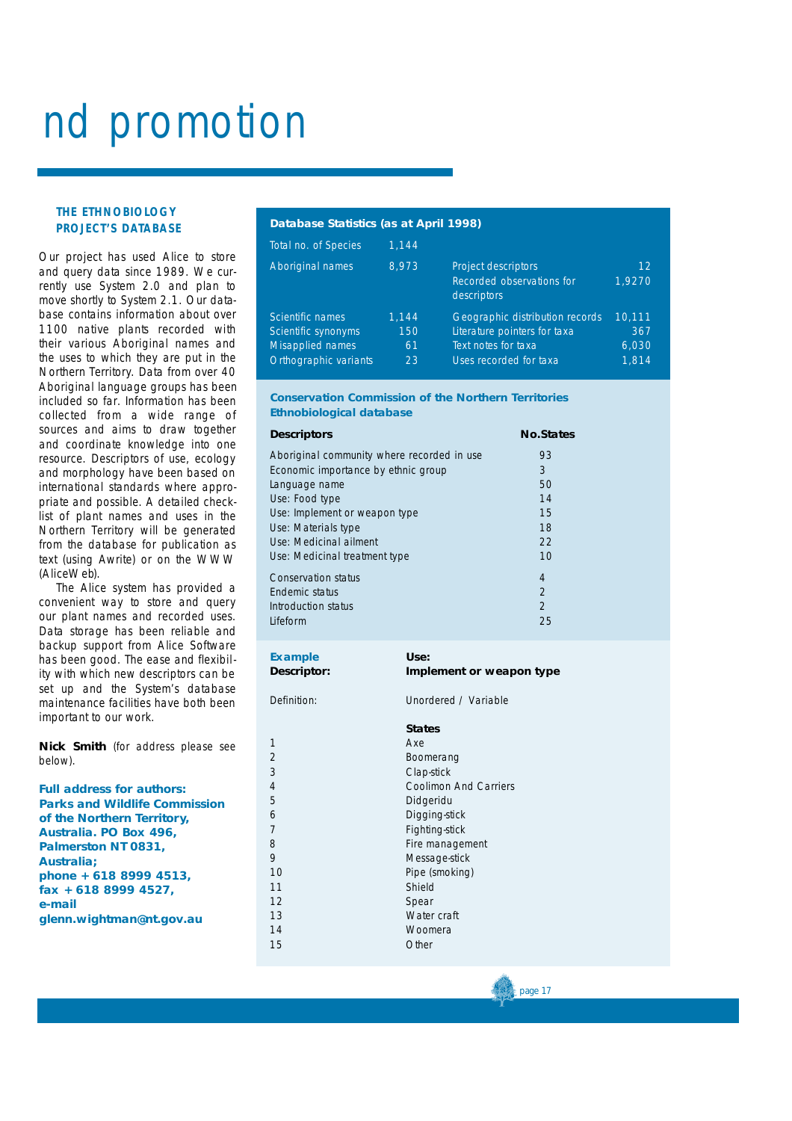# and promotion

## **THE ETHNOBIOLOGY PROJECT'S DATABASE**

Our project has used Alice to store and query data since 1989. We currently use System 2.0 and plan to move shortly to System 2.1. Our database contains information about over 1100 native plants recorded with their various Aboriginal names and the uses to which they are put in the Northern Territory. Data from over 40 Aboriginal language groups has been included so far. Information has been collected from a wide range of sources and aims to draw together and coordinate knowledge into one resource. Descriptors of use, ecology and morphology have been based on international standards where appropriate and possible. A detailed checklist of plant names and uses in the Northern Territory will be generated from the database for publication as text (using *Awrite*) or on the WWW (*AliceWeb*).

The Alice system has provided a convenient way to store and query our plant names and recorded uses. Data storage has been reliable and backup support from Alice Software has been good. The ease and flexibility with which new descriptors can be set up and the System's database maintenance facilities have both been important to our work.

**Nick Smith** (for address please see below).

| <b>Full address for authors:</b>     |
|--------------------------------------|
| <b>Parks and Wildlife Commission</b> |
| of the Northern Territory,           |
| Australia. PO Box 496,               |
| Palmerston NT 0831,                  |
| Australia;                           |
| phone + 618 8999 4513,               |
| fax + 618 8999 4527,                 |
| e-mail                               |
| glenn.wightman@nt.gov.au             |
|                                      |

## **Database Statistics (as at April 1998)**

| Total no. of Species    | 1.144 |                                                                        |                           |
|-------------------------|-------|------------------------------------------------------------------------|---------------------------|
| <b>Aboriginal names</b> | 8.973 | <b>Project descriptors</b><br>Recorded observations for<br>descriptors | 12 <sub>1</sub><br>1.9270 |
| Scientific names        | 1.144 | Geographic distribution records                                        | 10.111                    |
| Scientific synonyms     | 150   | Literature pointers for taxa                                           | 367                       |
| <b>Misapplied names</b> | 61    | Text notes for taxa                                                    | 6,030                     |
| Orthographic variants   | 23    | Uses recorded for taxa                                                 | 1.814                     |

## **Conservation Commission of the Northern Territories Ethnobiological database**

| <b>Descriptors</b>                         | <b>No.States</b> |
|--------------------------------------------|------------------|
| Aboriginal community where recorded in use | 93               |
| Economic importance by ethnic group        | 3                |
| Language name                              | 50               |
| Use: Food type                             | 14               |
| Use: Implement or weapon type              | 15               |
| Use: Materials type                        | 18               |
| Use: Medicinal ailment                     | 22               |
| Use: Medicinal treatment type              | 10               |
| Conservation status                        | 4                |
| Endemic status                             | $\overline{2}$   |
| Introduction status                        | $\mathcal{P}$    |
| Lifeform                                   | 25               |

| <b>Example</b>     | Use:                     |
|--------------------|--------------------------|
| <b>Descriptor:</b> | Implement or weapon type |

Definition: Unordered / Variable

## **States**

1 Axe 2 Boomerang<br>3 Clan-stick Clap-stick 4 Coolimon And Carriers **Didgeridu** 6 Digging-stick 7 Fighting-stick 8 **B Fire management** 9 Message-stick<br>10 Pine (smoking Pipe (smoking) 11 Shield 12 Spear 13 Water craft 14 Woomera 15 Other

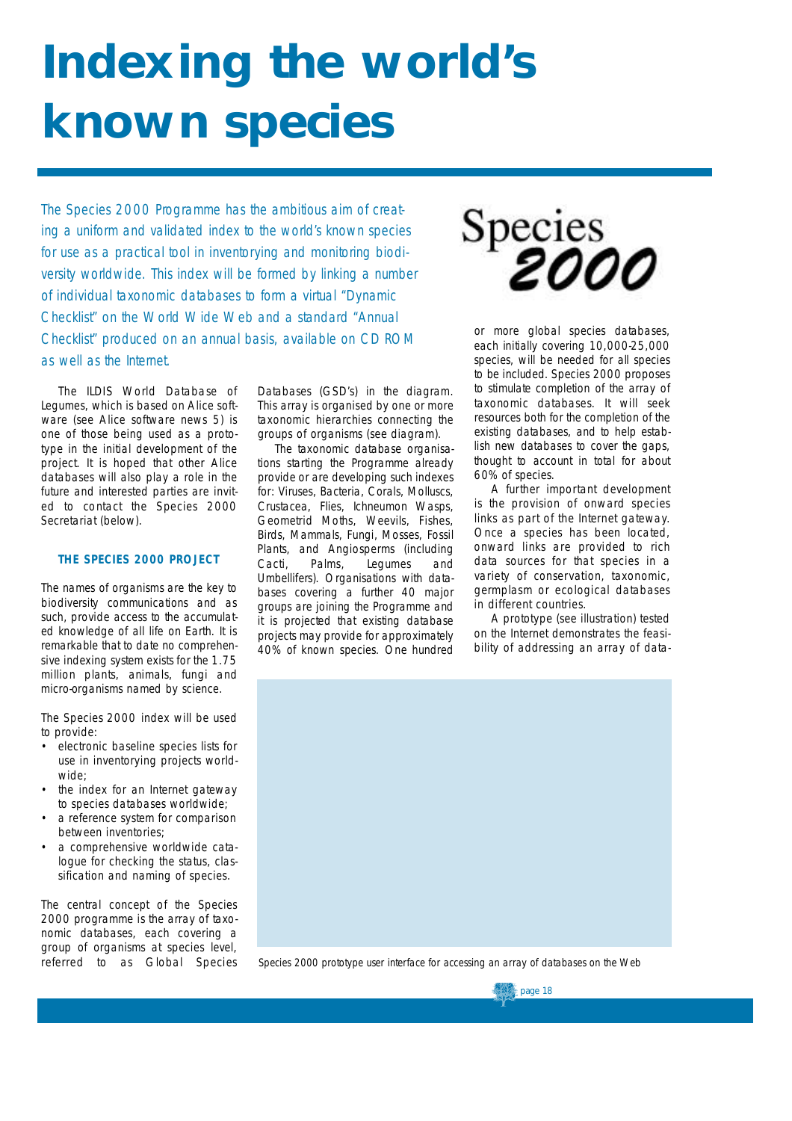# **Indexing the world's known species**

*The Species 2000 Programme has the ambitious aim of creating a uniform and validated index to the world's known species for use as a practical tool in inventorying and monitoring biodiversity worldwide. This index will be formed by linking a number of individual taxonomic databases to form a virtual "Dynamic Checklist" on the World Wide Web and a standard "Annual Checklist" produced on an annual basis, available on CD ROM as well as the Internet.* 

The ILDIS World Database of Legumes, which is based on Alice software (see Alice software news 5) is one of those being used as a prototype in the initial development of the project. It is hoped that other Alice databases will also play a role in the future and interested parties are invited to contact the Species 2000 Secretariat (below).

## **THE SPECIES 2000 PROJECT**

The names of organisms are the key to biodiversity communications and as such, provide access to the accumulated knowledge of all life on Earth. It is remarkable that to date no comprehensive indexing system exists for the 1.75 million plants, animals, fungi and micro-organisms named by science.

The *Species 2000* index will be used to provide:

- electronic baseline species lists for use in inventorying projects worldwide;
- the index for an Internet gateway to species databases worldwide;
- a reference system for comparison between inventories;
- a comprehensive worldwide catalogue for checking the status, classification and naming of species.

The central concept of the Species 2000 programme is the array of taxonomic databases, each covering a group of organisms at species level, referred to as Global Species

Databases (GSD's) in the diagram. This array is organised by one or more taxonomic hierarchies connecting the groups of organisms (see diagram).

The taxonomic database organisations starting the Programme already provide or are developing such indexes for: Viruses, Bacteria, Corals, Molluscs, Crustacea, Flies, Ichneumon Wasps, Geometrid Moths, Weevils, Fishes, Birds, Mammals, Fungi, Mosses, Fossil Plants, and Angiosperms (including Cacti, Palms, Legumes and Umbellifers). Organisations with databases covering a further 40 major groups are joining the Programme and it is projected that existing database projects may provide for approximately 40% of known species. One hundred



or more global species databases, each initially covering 10,000-25,000 species, will be needed for all species to be included. *Species 2000* proposes to stimulate completion of the array of taxonomic databases. It will seek resources both for the completion of the existing databases, and to help establish new databases to cover the gaps, thought to account in total for about 60% of species.

A further important development is the provision of onward species links as part of the Internet gateway. Once a species has been located, onward links are provided to rich data sources for that species in a variety of conservation, taxonomic, germplasm or ecological databases in different countries.

A prototype (see illustration) tested on the Internet demonstrates the feasibility of addressing an array of data-



Species 2000 prototype user interface for accessing an array of databases on the Web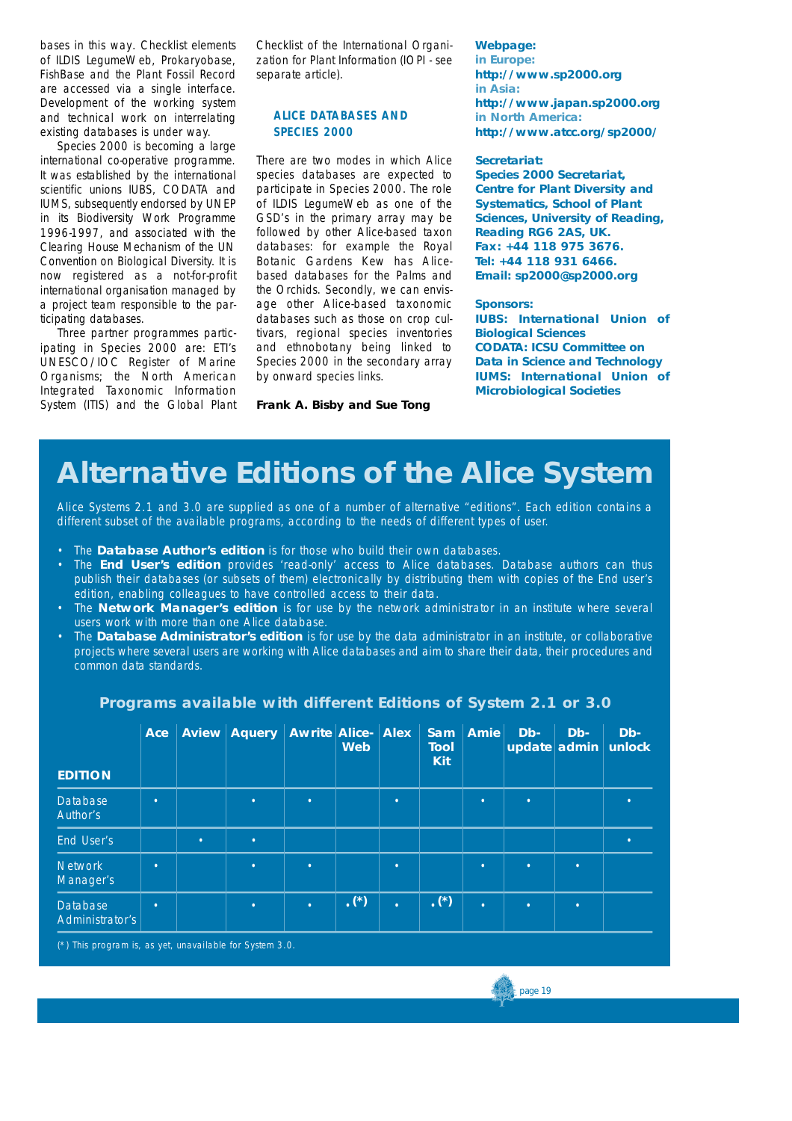bases in this way. Checklist elements of ILDIS LegumeWeb, Prokaryobase, FishBase and the Plant Fossil Record are accessed via a single interface. Development of the working system and technical work on interrelating existing databases is under way.

*Species 2000* is becoming a large international co-operative programme. It was established by the international scientific unions IUBS, CODATA and IUMS, subsequently endorsed by UNEP in its Biodiversity Work Programme 1996-1997, and associated with the Clearing House Mechanism of the UN Convention on Biological Diversity. It is now registered as a not-for-profit international organisation managed by a project team responsible to the participating databases.

Three partner programmes participating in *Species 2000* are: ETI's UNESCO/IOC *Register of Marine Organisms*; the North American *Integrated Taxonomic Information System* (ITIS) and the *Global Plant* *Checklist* of the International Organization for Plant Information *(IOPI - see separate article).*

## **ALICE DATABASES AND SPECIES 2000**

There are two modes in which Alice species databases are expected to participate in *Species 2000*. The role of ILDIS LegumeWeb as one of the GSD's in the primary array may be followed by other Alice-based taxon databases: for example the Royal Botanic Gardens Kew has Alicebased databases for the Palms and the Orchids. Secondly, we can envisage other Alice-based taxonomic databases such as those on crop cultivars, regional species inventories and ethnobotany being linked to Species 2000 in the secondary array by onward species links.

**Frank A. Bisby and Sue Tong**

*Webpage:* **in Europe: http://www.sp2000.org in Asia: http://www.japan.sp2000.org in North America: http://www.atcc.org/sp2000/**

### *Secretariat:*

**Species 2000 Secretariat, Centre for Plant Diversity and Systematics, School of Plant Sciences, University of Reading, Reading RG6 2AS, UK. Fax: +44 118 975 3676. Tel: +44 118 931 6466. Email: sp2000@sp2000.org**

### *Sponsors:*

**IUBS: International Union of Biological Sciences CODATA: ICSU Committee on Data in Science and Technology IUMS: International Union of Microbiological Societies**

## **Alternative Editions of the Alice System**

Alice Systems 2.1 and 3.0 are supplied as one of a number of alternative "editions". Each edition contains a different subset of the available programs, according to the needs of different types of user.

- The **Database Author's edition** is for those who build their own databases.
- The **End User's edition** provides 'read-only' access to Alice databases. Database authors can thus publish their databases (or subsets of them) electronically by distributing them with copies of the End user's edition, enabling colleagues to have controlled access to their data.
- The **Network Manager's edition** is for use by the network administrator in an institute where several users work with more than one Alice database.
- The **Database Administrator's edition** is for use by the data administrator in an institute, or collaborative projects where several users are working with Alice databases and aim to share their data, their procedures and common data standards.

| <b>EDITION</b>                     | Ace       |           | <b>Aview Aquery</b> | <b>Awrite Alice- Alex</b> | <b>Web</b>  |           | <b>Sam</b><br>Tool<br><b>Kit</b> | <b>Amie</b> | Db-       | Db-       | $Db-$<br>update admin unlock |
|------------------------------------|-----------|-----------|---------------------|---------------------------|-------------|-----------|----------------------------------|-------------|-----------|-----------|------------------------------|
| <b>Database</b><br>Author's        | $\bullet$ |           | $\bullet$           | $\bullet$                 |             | $\bullet$ |                                  | ٠           | $\bullet$ |           |                              |
| End User's                         |           | $\bullet$ | $\bullet$           |                           |             |           |                                  |             |           |           | ٠                            |
| <b>Network</b><br>Manager's        | $\bullet$ |           | $\bullet$           | $\bullet$                 |             | $\bullet$ |                                  | $\bullet$   | $\bullet$ | $\bullet$ |                              |
| <b>Database</b><br>Administrator's | $\bullet$ |           | $\bullet$           | $\bullet$                 | $\cdot$ (*) | $\bullet$ | $\cdot$ (*)                      | $\bullet$   | $\bullet$ | $\bullet$ |                              |

## Programs available with different Editions of System 2.1 or 3.0

(\*) This program is, as yet, unavailable for System 3.0.